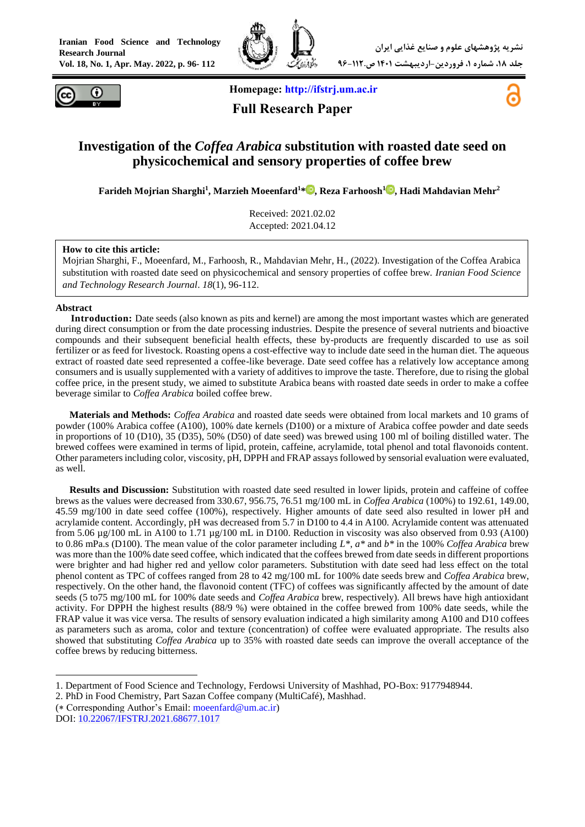



 **Homepage: [http://ifstrj.um.ac.ir](http://ifstrj.um.ac.ir/)**

 **Full Research Paper**



## **Investigation of the** *Coffea Arabica* **substitution with roasted date seed on physicochemical and sensory properties of coffee brew**

**Farideh Mojrian Sharghi<sup>1</sup> , Marzieh Moeenfard<sup>1</sup>[\\*](https://orcid.org/0000-0002-6324-1130) , Reza Farhoosh<sup>1</sup> [,](https://orcid.org/0000-0002-1794-7917) Hadi Mahdavian Mehr<sup>2</sup>**

Received: 2021.02.02 Accepted: 2021.04.12

#### **How to cite this article:**

Mojrian Sharghi, F., Moeenfard, M., Farhoosh, R., Mahdavian Mehr, H., (2022). Investigation of the Coffea Arabica substitution with roasted date seed on physicochemical and sensory properties of coffee brew. *Iranian Food Science and Technology Research Journal*. *18*(1), 96-112.

#### **Abstract**

**<sup>1</sup>Introduction:** Date seeds (also known as pits and kernel) are among the most important wastes which are generated during direct consumption or from the date processing industries. Despite the presence of several nutrients and bioactive compounds and their subsequent beneficial health effects, these by-products are frequently discarded to use as soil fertilizer or as feed for livestock. Roasting opens a cost-effective way to include date seed in the human diet. The aqueous extract of roasted date seed represented a coffee-like beverage. Date seed coffee has a relatively low acceptance among consumers and is usually supplemented with a variety of additives to improve the taste. Therefore, due to rising the global coffee price, in the present study, we aimed to substitute Arabica beans with roasted date seeds in order to make a coffee beverage similar to *Coffea Arabica* boiled coffee brew.

**Materials and Methods:** *Coffea Arabica* and roasted date seeds were obtained from local markets and 10 grams of powder (100% Arabica coffee (A100), 100% date kernels (D100) or a mixture of Arabica coffee powder and date seeds in proportions of 10 (D10), 35 (D35), 50% (D50) of date seed) was brewed using 100 ml of boiling distilled water. The brewed coffees were examined in terms of lipid, protein, caffeine, acrylamide, total phenol and total flavonoids content. Other parameters including color, viscosity, pH, DPPH and FRAP assays followed by sensorial evaluation were evaluated, as well.

**Results and Discussion:** Substitution with roasted date seed resulted in lower lipids, protein and caffeine of coffee brews as the values were decreased from 330.67, 956.75, 76.51 mg/100 mL in *Coffea Arabica* (100%) to 192.61, 149.00, 45.59 mg/100 in date seed coffee (100%), respectively. Higher amounts of date seed also resulted in lower pH and acrylamide content. Accordingly, pH was decreased from 5.7 in D100 to 4.4 in A100. Acrylamide content was attenuated from 5.06 µg/100 mL in A100 to 1.71 µg/100 mL in D100. Reduction in viscosity was also observed from 0.93 (A100) to 0.86 mPa.s (D100). The mean value of the color parameter including *L\**, *a\** and *b\** in the 100% *Coffea Arabica* brew was more than the 100% date seed coffee, which indicated that the coffees brewed from date seeds in different proportions were brighter and had higher red and yellow color parameters. Substitution with date seed had less effect on the total phenol content as TPC of coffees ranged from 28 to 42 mg/100 mL for 100% date seeds brew and *Coffea Arabica* brew, respectively. On the other hand, the flavonoid content (TFC) of coffees was significantly affected by the amount of date seeds (5 to75 mg/100 mL for 100% date seeds and *Coffea Arabica* brew, respectively). All brews have high antioxidant activity. For DPPH the highest results (88/9 %) were obtained in the coffee brewed from 100% date seeds, while the FRAP value it was vice versa. The results of sensory evaluation indicated a high similarity among A100 and D10 coffees as parameters such as aroma, color and texture (concentration) of coffee were evaluated appropriate. The results also showed that substituting *Coffea Arabica* up to 35% with roasted date seeds can improve the overall acceptance of the coffee brews by reducing bitterness.

<sup>-</sup>1. Department of Food Science and Technology, Ferdowsi University of Mashhad, PO-Box: 9177948944.

<sup>2.</sup> PhD in Food Chemistry, Part Sazan Coffee company (MultiCafé), Mashhad.

 $(*$  Corresponding Author's Email: [moeenfard@um.ac.ir\)](mailto:moeenfard@um.ac.ir)

DOI: [10.22067/IFSTRJ.2021.68677.1017](https://dx.doi.org/10.22067/ifstrj.2021.68677.1017)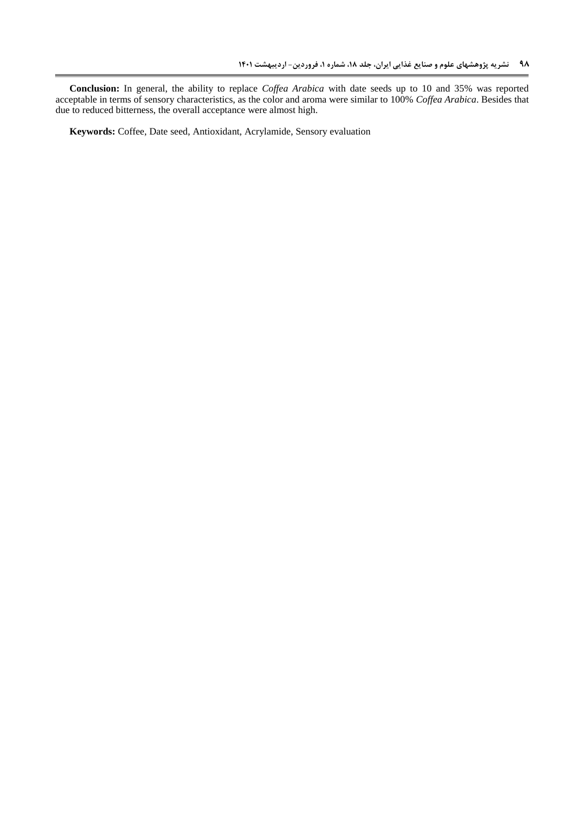**Conclusion:** In general, the ability to replace *Coffea Arabica* with date seeds up to 10 and 35% was reported acceptable in terms of sensory characteristics, as the color and aroma were similar to 100% *Coffea Arabica*. Besides that due to reduced bitterness, the overall acceptance were almost high.

**Keywords:** Coffee, Date seed, Antioxidant, Acrylamide, Sensory evaluation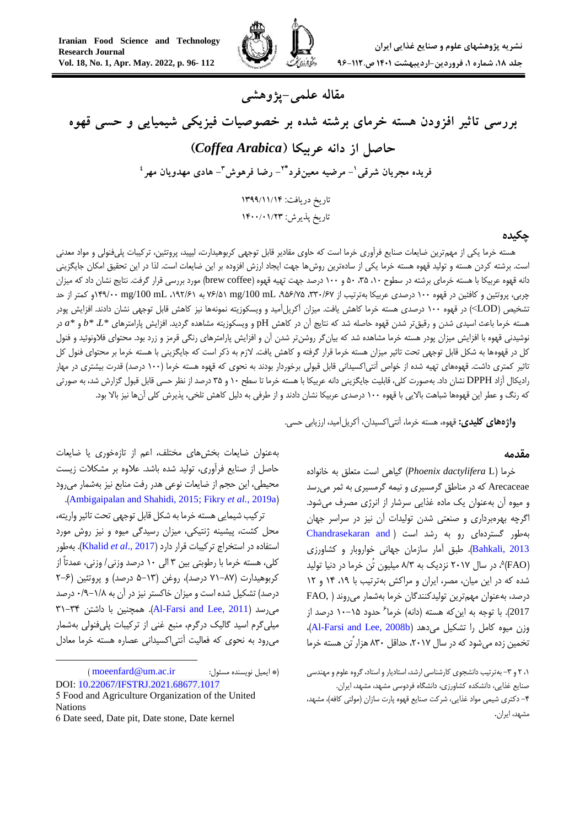

# **مقاله علمی-پژوهشی**

**بررسی تاثیر افزودن هسته خرمای برشته شده بر خصوصیات فیزیکی شیمیایی و حسی قهوه حاصل از دانه عربیکا )***Arabica Coffea***) <sup>1</sup> فریده مجریان شرقی - مرضیه معینفرد - رضا فرهوش \*<sup>2</sup> 3 - هادی مهدویان مهر 4** تاریخ دریافت: 4911/44/41 تاریخ پذیرش: ۱۴۰۰/۰۱/۲۳

#### **چکیده**

هسته خرما یکی از مهمترین ضایعات صنایع فرآوری خرما است که حاوی مقادیر قابل توجهی کربوهیدارت، لیپید، پروتئین، ترکیبات پلیفنولی و مواد معدنی است. برشته کردن هسته و تولید قهوه هسته خرما یکی از سادهترین روشها جهت ایجاد ارزش افزوده بر این ضایعات است. لذا در این تحقیق امکان جایگزینی دانه قهوه عربیکا با هسته خرمای برشته در سطوح ۰۱، ۲۵، ۵۰ و ۱۰۰ درصد جهت تهیه قهوه (brew coffee) مورد بررسی قرار گرفت. نتایج نشان داد که میزان چربی، پروتئین و کافئین در قهوه 011 درصدی عربیکا بهترتیب از ،551/76 ،637/63 mL /100mg 67/30 به ،061/70 mL /100mg 046/11و کمتر از حد تشخیص )LOD )>در قهوه 011 درصدی هسته خرما کاهش یافت. میزان آکریلآمید و ویسکوزیته نمونهها نیز کاهش قابل توجهی نشان دادند. افزایش پودر هسته خرما باعث اسیدی شدن و رقیقتر شدن قهوه حاصله شد که نتایج آن در کاهش pH و ویسکوزیته مشاهده گردید. افزایش پارامترهای *\*L*،*\* b* و *\*a* در نوشیدنی قهوه با افزایش میزان پودر هسته خرما مشاهده شد که بیانگر روشنتر شدن آن و افزایش پارامترهای رنگی قرمز و زرد بود. محتوای فالونوئید و فنول کل در قهوهها به شکل قابل توجهی تحت تاثیر میزان هسته خرما قرار گرفته و کاهش یافت. الزم به ذکر است که جایگزینی با هسته خرما بر محتوای فنول کل تاثیر کمتری داشت. قهوههای تهیه شده از خواص آنتی|کسیدانی قابل قبولی برخوردار بودند به نحوی که قهوه هسته خرما (١٠٠ درصد) قدرت بیشتری در مهار رادیکال آزاد DPPH نشان داد. بهصورت کلی، قابلیت جایگزینی دانه عربیکا با هسته خرما تا سطح 01 و 53 درصد از نظر حسی قابل قبول گزارش شد، به صورتی که رنگ و عطر این قهوهها شباهت بالایی با قهوه ۱۰۰ درصدی عربیکا نشان دادند و از طرفی به دلیل کاهش تلخی، پذیرش کلی آنها نیز بالا بود.

**واژههای کلیدی:** قهوه، هسته خرما، آنتیاکسیدان، آکریلآمید، ارزیابی حسی.

#### **مقدمه**

خرما )L *dactylifera Phoenix* )گیاهی است متعلق به خانواده Arecaceae که در مناطق گرمسیری و نیمه گرمسیری به ثمر میرسد و میوه آن بهعنوان یک ماده غذایی سرشار از انرژی مصرف میشود. اگرچه بهرهبرداری و صنعتی شدن تولیدات آن نیز در سراسر جهان بهطور گستردهای رو به رشد است ) [and Chandrasekaran](#page-14-0) [2013 ,Bahkali](#page-14-0)). طبق آمار سازمان جهانی خواروبار و کشاورزی )FAO( 3 ، در سال 1106 نزدیک به 8/5 میلیون تُن خرما در دنیا تولید شده که در این میان، مصر، ایران و مراکش بهترتیب با ١٩، ١٤ و ١٢ درصد، بهعنوان مهمترین تولیدکنندگان خرما بهشمار میروند ) ,FAO 2017). با توجه به اینکه هسته (دانه) خرما<sup>ع</sup> حدود ۱۵–۱۰ درصد از وزن میوه کامل را تشکیل میدهد (Al-Farsi and Lee, 2008b)، تخمین زده می شود که در سال ۲۰۱۷، حداقل ۸۳۰ هزار ُتن هسته خرما

۰۱ ۲ و ۳- به ترتیب دانشجوی کارشناسی ارشد، استادیار و استاد، گروه علوم و مهندسی صنایع غذایی، دانشکده کشاورزی، دانشگاه فردوسی مشهد، مشهد، ایران. -4 دکتری شیمی مواد غذایی، شرکت صنایع قهوه پارت سازان )مولتی کافه(، مشهد، مشهد، ایران.

بهعنوان ضایعات بخشهای مختلف، اعم از تازهخوری یا ضایعات حاصل از صنایع فرآوری، تولید شده باشد. عالوه بر مشکالت زیست محیطی، این حجم از ضایعات نوعی هدر رفت منابع نیز بهشمار میرود .)[Ambigaipalan and Shahidi, 2015;](#page-13-1) Fikry *et al.*[, 2019a](#page-14-1)[\(](#page-13-1)

ترکیب شیمایی هسته خرما به شکل قابل توجهی تحت تاثیر واریته، محل کشت، پیشینه ژنتیکی، میزان رسیدگی میوه و نیز روش مورد استفاده در استخراج ترکیبات قرار دارد )2017 .,*al et* [Khalid](#page-15-0)). بهطور کلی، هسته خرما با رطوبتی بین 5 الی 01 درصد وزنی/ وزنی، عمدتاً از کربوهیدارت )60-86 درصد(، روغن )3-05 درصد( و پروتئین )1-7 درصد) تشکیل شده است و میزان خاکستر نیز در آن به ۱/۸–۰/۹ درصد  $\Upsilon$ 71-۳۴ میرسد (Al-Farsi and Lee, 2011). همچنین با داشتن  $\Upsilon$ میلیگرم اسید گالیک درگرم، منبع غنی از ترکیبات پلیفنولی بهشمار میرود به نحوی که فعالیت آنتیاکسیدانی عصاره هسته خرما معادل

-

 $\pmod{m}$ igentical moeenfard  $\pmod{m}$  :  $\Rightarrow$  igentical  $\pmod{m}$ DOI: [10.22067/IFSTRJ.2021.68677.1017](https://dx.doi.org/10.22067/ifstrj.2021.68677.1017)

<sup>5</sup> Food and Agriculture Organization of the United Nations

<sup>6</sup> Date seed, Date pit, Date stone, Date kernel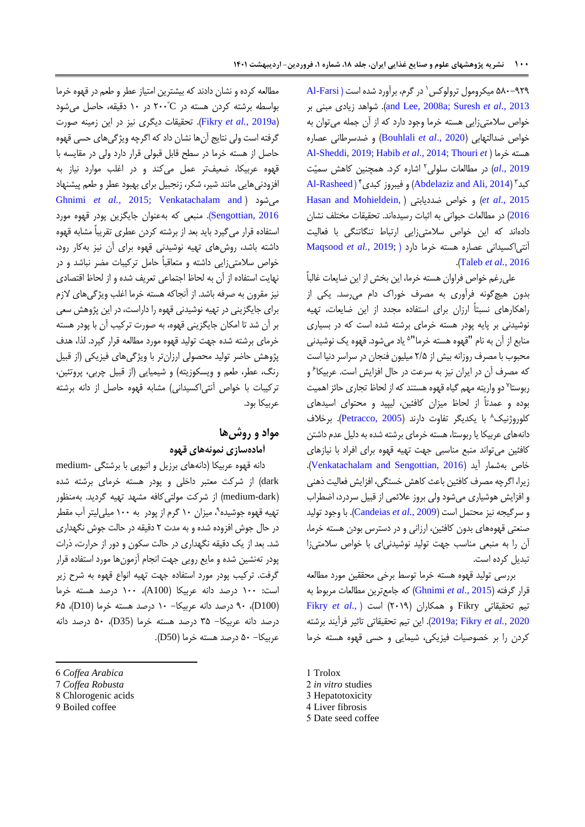در گرم، برآورد شده است ) [Farsi-Al](#page-13-3) <sup>0</sup> 381-616 میکرومول ترولوکس بر مبنی زیادی شواهد .([and Lee, 2008a;](#page-13-3) [Suresh](#page-15-1) *et al.*, 2013 خواص سالمتیزایی هسته خرما وجود دارد که از آن جمله میتوان به خواص ضدالتهابی )2020 .,*al et* [Bouhlali](#page-14-2) )و ضدسرطانی عصاره [Al-Sheddi, 2019;](#page-13-4) Habib *et al*[., 2014;](#page-15-2) [Thouri](#page-15-3) *et* [\(](#page-13-4) خرما هسته 1 [2019 .,](#page-15-3)*al* )در مطالعات سلولی اشاره کرد. همچنین کاهش سمیّت  $\operatorname{Al-Rashed}$ ) (Abdelaziz and Ali,  $2014$ ) و فیبروز کبدی [Hasan and Mohieldein,](#page-15-4) [\(](#page-15-4) ضددیابتی خواص و( *et al*[., 2015](#page-13-6) [2016](#page-15-4)( در مطالعات حیوانی به اثبات رسیدهاند. تحقیقات مختلف نشان دادهاند که این خواص سالمتیزایی ارتباط تنگاتنگی با فعالیت آنتیاکسیدانی عصاره هسته خرما دارد [\)](#page-15-5) ;2019 *.*,*al et* [Maqsood](#page-15-5) .)[Taleb](#page-15-6) *et al.*, 2016

علیرغم خواص فراوان هسته خرما، این بخش از این ضایعات غالباً بدون هیچگونه فرآوری به مصرف خوراک دام میرسد. یکی از راهکارهای نسبتاً ارزان برای استفاده مجدد از این ضایعات، تهیه نوشیدنی بر پایه پودر هسته خرمای برشته شده است که در بسیاری منابع از آن به نام "قهوه هسته خرما"<sup>ه</sup> یاد میشود. قهوه یک نوشیدنی محبوب با مصرف روزانه بیش از 1/3 میلیون فنجان در سراسر دنیا است که مصرف أن در ایران نیز به سرعت در حال افزایش است. عربیکا<sup>ع</sup> و ربوستا<sup>۷</sup> دو واریته مهم گیاه قهوه هستند که از لحاظ تجاری حائز اهمیت بوده و عمدتاً از لحاظ میزان کافئین، لیپید و محتوای اسیدهای کلوروژنیک<sup>۸</sup> با یکدیگر تفاوت دارند (Petracco, 2005). برخلاف دانههای عربیکا یا ربوستا، هسته خرمای برشته شده به دلیل عدم داشتن کافئین میتواند منبع مناسبی جهت تهیه قهوه برای افراد با نیازهای خاص بهشمار آید )[2016 ,Sengottian and Venkatachalam](#page-15-8)). زیرا، اگرچه مصرف کافئین باعث کاهش خستگی، افزایش فعالیت ذهنی و افزایش هوشیاری میشود ولی بروز عالئمی از قبیل سردرد، اضطراب و سرگیجه نیز محتمل است )2009 .,*al et* [Candeias](#page-14-3)). با وجود تولید صنعتی قهوههای بدون کافئین، ارزانی و در دسترس بودن هسته خرما، آن را به منبعی مناسب جهت تولید نوشیدنیای با خواص سالمتیزا تبدیل کرده است.

بررسی تولید قهوه هسته خرما توسط برخی محققین مورد مطالعه قرار گرفته )2015 .,*al et* [Ghnimi](#page-14-4) )که جامعترین مطالعات مربوط به تیم تحقیقاتی Fikry و همکاران )1106( است ).[,](#page-14-1)*al et* [Fikry](#page-14-1) 2020 *.*,*al et* [Fikry](#page-14-5)[;](#page-14-1)[a2019](#page-14-1)). این تیم تحقیقاتی تاثیر فرآیند برشته کردن را بر خصوصیات فیزیکی، شیمایی و حسی قهوه هسته خرما

5 Date seed coffee

مطالعه کرده و نشان دادند که بیشترین امتیاز عطر و طعم در قهوه خرما º بواسطه برشته کردن هسته در C 111 در 01 دقیقه، حاصل میشود )[a2019](#page-14-1) *.*,*al et* Fikry). تحقیقات دیگری نیز در این زمینه صورت گرفته است ولی نتایج آنها نشان داد که اگرچه ویژگیهای حسی قهوه حاصل از هسته خرما در سطح قابل قبولی قرار دارد ولی در مقایسه با قهوه عربیکا، ضعیفتر عمل میکند و در اغلب موارد نیاز به افزودنیهایی مانند شیر، شکر، زنجبیل برای بهبود عطر و طعم پیشنهاد [Ghnimi](#page-14-4) *et al.,* 2015; [Venkatachalam and](#page-15-8) [\(](#page-14-4) میشود [2016 ,Sengottian](#page-15-8)). منبعی که بهعنوان جایگزین پودر قهوه مورد استفاده قرار میگیرد باید بعد از برشته کردن عطری تقریباً مشابه قهوه داشته باشد، روشهای تهیه نوشیدنی قهوه برای آن نیز بهکار رود، خواص سالمتیزایی داشته و متعاقباً حامل ترکیبات مضر نباشد و در نهایت استفاده از آن به لحاظ اجتماعی تعریف شده و از لحاظ اقتصادی نیز مقرون به صرفه باشد. از آنجاکه هسته خرما اغلب ویژگیهای الزم برای جایگزینی در تهیه نوشیدنی قهوه را داراست، در این پژوهش سعی بر آن شد تا امکان جایگزینی قهوه، به صورت ترکیب آن با پودر هسته خرمای برشته شده جهت تولید قهوه مورد مطالعه قرار گیرد. لذا، هدف پژوهش حاضر تولید محصولی ارزانتر با ویژگیهای فیزیکی )از قبیل رنگ، عطر، طعم و ویسکوزیته) و شیمیایی (از قبیل چربی، پروتئین، ترکیبات با خواص آنتی اکسیدانی) مشابه قهوه حاصل از دانه برشته عربیکا بود.

## **مواد و روشها آمادهسازی نمونههای قهوه**

دانه قهوه عربیکا )دانههای برزیل و اتیوپی با برشتگی -medium dark )از شرکت معتبر داخلی و پودر هسته خرمای برشته شده )dark-medium )از شرکت مولتیکافه مشهد تهیه گردید. بهمنظور 6 تهیه قهوه جوشیده ، میزان 01 گرم از پودر به 011 میلیلیتر آب مقطر در حال جوش افزوده شده و به مدت 1 دقیقه در حالت جوش نگهداری شد. بعد از یک دقیقه نگهداری در حالت سکون و دور از حرارت، ذرات پودر تهنشین شده و مایع رویی جهت انجام آزمونها مورد استفاده قرار گرفت. ترکیب پودر مورد استفاده جهت تهیه انواع قهوه به شرح زیر است: 011 درصد دانه عربیکا )100A)، 011 درصد هسته خرما )100D)، 61 درصد دانه عربیکا- 01 درصد هسته خرما )10D)، 73 درصد دانه عربیکا- 53 درصد هسته خرما )35D)، 31 درصد دانه عربیکا- 31 درصد هسته خرما )50D).

<sup>1</sup> Trolox

<sup>2</sup> *in vitro* studies

<sup>3</sup> Hepatotoxicity

<sup>4</sup> Liver fibrosis

<sup>6</sup> *Coffea Arabica*

<sup>7</sup> *Coffea Robusta*

<sup>8</sup> Chlorogenic acids

<sup>9</sup> Boiled coffee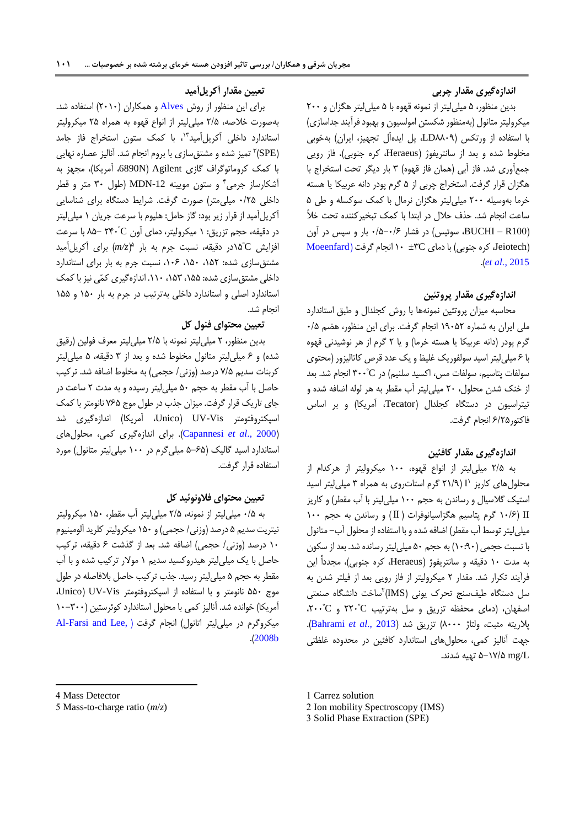## **اندازهگیری مقدار چربی**

بدین منظور، 3 میلیلیتر از نمونه قهوه با 3 میلیلیتر هگزان و 111 میکرولیتر متانول (بهمنظور شکستن امولسیون و بهبود فرآیند جداسازی) با استفاده از ورتکس )8816LD، پل ایدهآل تجهیز، ایران( بهخوبی مخلوط شده و بعد از سانتریفوژ (Heraeus، کره جنوبی)، فاز رویی جمعآوری شد. فاز آبی )همان فاز قهوه( 5 بار دیگر تحت استخراج با هگزان قرار گرفت. استخراج چربی از 3 گرم پودر دانه عربیکا یا هسته خرما بهوسیله 111 میلیلیتر هگزان نرمال با کمک سوکسله و طی 3 ساعت انجام شد. حذف حالل در ابتدا با کمک تبخیرکننده تحت خأل )100R – BUCHI، سوئیس( در فشار 1/3-1/7 بار و سپس در آون  $Moeenfard$ ) کره جنوبی) با دمای TC $\mathcal{C}$ ±۳C انجام گرفت  $Jetotech)$ .)*et al.*[, 2015](#page-15-9)

## **اندازهگیری مقدار پروتئین**

محاسبه میزان پروتئین نمونهها با روش کجلدال و طبق استاندارد ملی ایران به شماره 06131 انجام گرفت. برای این منظور، هضم 1/3 گرم پودر (دانه عربیکا یا هسته خرما) و یا ۲ گرم از هر نوشیدنی قهوه با 7 میلیلیتر اسید سولفوریک غلیظ و یک عدد قرص کاتالیزور )محتوی سولفات پتاسیم، سولفات مس، اکسید سلنیم) در ٣٠٠°C انجام شد. بعد از خنک شدن محلول، 11 میلیلیتر آب مقطر به هر لوله اضافه شده و تیتراسیون در دستگاه کجلدال (Tecator، آمریکا) و بر اساس فاکتور7/13 انجام گرفت.

### **اندازهگیری مقدار کافئین**

به 1/3 میلیلیتر از انواع قهوه، 011 میکرولیتر از هرکدام از 0 محلولهای کاریز I( 10/6 گرم استاتروی به همراه 5 میلیلیتر اسید استیک گالسیال و رساندن به حجم 011 میلیلیتر با آب مقطر( و کاریز II( 01/7 گرم پتاسیم هگزاسیانوفرات )Ⅱ )و رساندن به حجم 011 میلیلیتر توسط آب مقطر( اضافه شده و با استفاده از محلول آب- متانول با نسبت حجمی )01:61( به حجم 31 میلیلیتر رسانده شد. بعد از سکون به مدت 01 دقیقه و سانتریفوژ )Heraeus، کره جنوبی(، مجدداً این فرآیند تکرار شد. مقدار 1 میکرولیتر از فاز رویی بعد از فیلتر شدن به 1 سل دستگاه طیفسنج تحرک یونی )IMS) ساخت دانشگاه صنعتی º 111 و C <sup>º</sup> اصفهان، )دمای محفظه تزریق و سل بهترتیب C ،111 پالریته مثبت، ولتاژ 8111( تزریق شد )2013 .,*al et* [Bahrami](#page-14-6)). جهت آنالیز کمی، محلولهای استاندارد کافئین در محدوده غلظتی L/mg 3-06/3 تهیه شدند.

#### **.** 4 Mass Detector

## **تعیین مقدار آکریلآمید**

برای این منظور از روش [Alves](#page-13-7) و همکاران )1101( استفاده شد. بهصورت خالصه، 1/3 میلیلیتر از انواع قهوه به همراه 13 میکرولیتر استاندارد داخلی آکریلآمید "، با کمک ستون استخراج فاز جامد (SPE)۳ تمیز شده و مشتق $\omega$ ازی با بروم انجام شد. آنالیز عصاره نهایی با کمک کروماتوگراف گازی Agilent (6890N آمریکا)، مجهز به 4 آشکارساز جرمی و ستون مویینه -12MDN( طول 51 متر و قطر داخلی 1/13 میلیمتر( صورت گرفت. شرایط دستگاه برای شناسایی آکریلآمید از قرار زیر بود: گاز حامل: هلیوم با سرعت جریان 0 میلیلیتر در دقیقه، حجم تزریق: ۱ میکرولیتر، دمای اُون ۲۴۰°C –۸۵ با سرعت C افزایش <sup>º</sup> 3 03در دقیقه، نسبت جرم به بار )*z/m* )برای آکریلآمید مشتقسازی شده: ،031 ،031 ،017 نسبت جرم به بار برای استاندارد داخلی مشتقسازی شده: ،033 ،035 .001 اندازهگیری کمّی نیز با کمک استاندارد اصلی و استاندارد داخلی بهترتیب در جرم به بار 031 و 033 انجام شد.

### **تعیین محتوای فنول کل**

بدین منظور، 1 میلیلیتر نمونه با 1/3 میلیلیتر معرف فولین )رقیق شده) و ۶ میلیلیتر متانول مخلوط شده و بعد از ۳ دقیقه، ۵ میلیلیتر کربنات سدیم 6/3 درصد )وزنی/ حجمی( به مخلوط اضافه شد. ترکیب حاصل با آب مقطر به حجم 31 میلیلیتر رسیده و به مدت 1 ساعت در جای تاریک قرار گرفت. میزان جذب در طول موج 673 نانومتر با کمک اسپکتروفتومتر UV-Vis، آمریکا) اندازهگیری شد )2000 .,*al et* [Capannesi](#page-14-7)). برای اندازهگیری کمی، محلولهای استاندارد اسید گالیک )3-73 میلیگرم در 011 میلیلیتر متانول( مورد استفاده قرار گرفت.

## **تعیین محتوای فالونوئید کل**

به 1/3 میلیلیتر از نمونه، 1/3 میلیلیتر آب مقطر، 031 میکرولیتر نیتریت سدیم 3 درصد )وزنی/ حجمی( و 031 میکرولیتر کلرید آلومینیوم 01 درصد )وزنی/ حجمی( اضافه شد. بعد از گذشت 7 دقیقه، ترکیب حاصل با یک میلیلیتر هیدروکسید سدیم 0 موالر ترکیب شده و با آب مقطر به حجم 3 میلیلیتر رسید. جذب ترکیب حاصل بالفاصله در طول موج 331 نانومتر و با استفاده از اسپکتروفتومتر Vis-UV( Unico، آمریکا) خوانده شد. آنالیز کمی با محلول استاندارد کوئرستین (۳۰۰-۱۰ میکروگرم در میلی لیتر اتانول) انجام گرفت ( Al-Farsi and Lee, .)[2008b](#page-13-0)

<sup>5</sup> Mass-to-charge ratio (*m*/*z*)

<sup>1</sup> Carrez solution

<sup>2</sup> Ion mobility Spectroscopy (IMS)

<sup>3</sup> Solid Phase Extraction (SPE)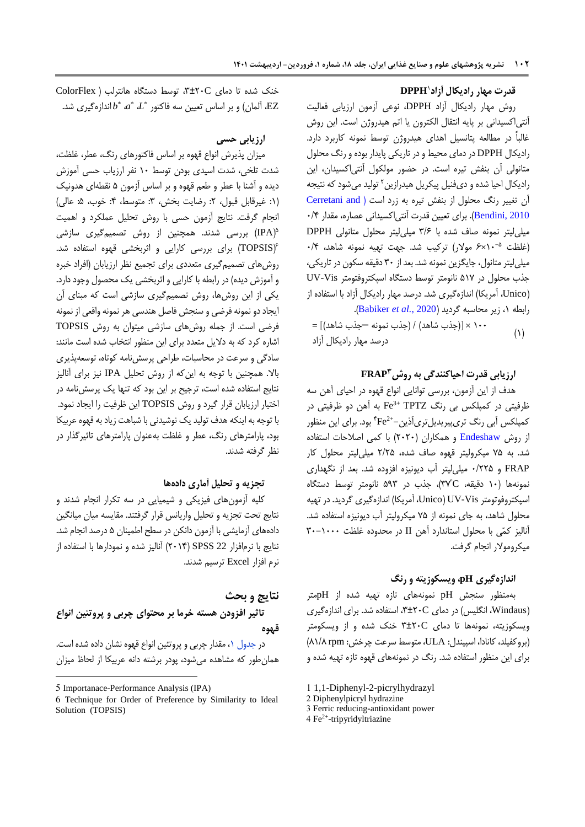### <sup>0</sup>**DPPH قدرت مهار رادیکال آزاد**

روش مهار رادیکال آزاد DPPH، نوعی آزمون ارزیابی فعالیت آنتیاکسیدانی بر پایه انتقال الکترون یا اتم هیدروژن است. این روش غالباً در مطالعه پتانسیل اهدای هیدروژن توسط نمونه کاربرد دارد. رادیکال DPPH در دمای محیط و در تاریکی پایدار بوده و رنگ محلول متانولی آن بنفش تیره است. در حضور مولکول آنتیاکسیدان، این رادیکال احیا شده و دیفنیل پیکریل هیدرازین<sup>۲</sup> تولید میشود که نتیجه آن تغییر رنگ محلول از بنفش تیره به زرد است ( Cerretani and [2010 ,Bendini](#page-14-8)). برای تعیین قدرت آنتیاکسیدانی عصاره، مقدار 1/4 میلیلیتر نمونه صاف شده با 5/7 میلیلیتر محلول متانولی DPPH 01×7 موالر( ترکیب شد. جهت تهیه نمونه شاهد، 1/4 -3 )غلظت میلیلیتر متانول، جایگزین نمونه شد. بعد از 51 دقیقه سکون در تاریکی، جذب محلول در 306 نانومتر توسط دستگاه اسپکتروفتومتر Vis-UV )Unico، آمریکا( اندازهگیری شد. درصد مهار رادیکال آزاد با استفاده از رابطه ،0 زیر محاسبه گردید )2020 *.*,*al et* [Babiker](#page-14-9)).

 $(1)$  $=[(\lambda \omega + \lambda \omega + \lambda \omega)]$ جذب شاهد) / (جذب نمونه —جذب شاهد) درصد مهار رادیکال آزاد

## **FRAP <sup>3</sup> ارزیابی قدرت احیاکنندگی به روش**

هدف از این آزمون، بررسی توانایی انواع قهوه در احیای آهن سه Fe به آهن دو ظرفیتی در 3+ ظرفیتی در کمپلکس بی رنگ TPTZ کمپلکس آبی رنگ تری,پیریدیلتریآذین–\*Fe<sup>2+</sup> بود. برای این منظور از روش [Endeshaw](#page-14-10) و همکاران )1111( با کمی اصالحات استفاده شد. به 63 میکرولیتر قهوه صاف شده، 1/13 میلیلیتر محلول کار FRAP و 1/113 میلیلیتر آب دیونیزه افزوده شد. بعد از نگهداری º نمونهها )01 دقیقه، C 56(، جذب در 365 نانومتر توسط دستگاه اسپکتروفوتومتر Vis-UV( Unico، آمریکا( اندازهگیری گردید. در تهیه محلول شاهد، به جای نمونه از 63 میکرولیتر آب دیونیزه استفاده شد. آنالیز کمّی با محلول استاندارد آهن II در محدوده غلظت 51-0111 میکروموالر انجام گرفت.

#### **اندازهگیری pH، ویسکوزیته و رنگ**

بهمنظور سنجش pH نمونههای تازه تهیه شده از pHمتر )Windaus، انگلیس( در دمای C،5±11 استفاده شد. برای اندازهگیری ویسکوزیته، نمونهها تا دمای C5±11 خنک شده و از ویسکومتر )بروکفیلد،کانادا، اسپیندل: ULA، متوسط سرعت چرخش: rpm 80/8 ) برای این منظور استفاده شد. رنگ در نمونههای قهوه تازه تهیه شده و

- 3 Ferric reducing-antioxidant power
- 4 Fe<sup>2+</sup>-tripyridyltriazine

 $ColorFlex$  (مای ۲۰۲±۳، توسط دستگاه هانترلب ا اندازهگیری شد.  $b^*$   $a^*$  ،  $L^*$  اندازهگیری شد.  $\mathrm{EZ}$ 

## **ارزیابی حسی**

میزان پذیرش انواع قهوه بر اساس فاکتورهای رنگ، عطر، غلظت، شدت تلخی، شدت اسیدی بودن توسط 01 نفر ارزیاب حسی آموزش دیده و آشنا با عطر و طعم قهوه و بر اساس آزمون 3 نقطهای هدونیک (١: غیرقابل قبول، ٢: رضایت بخش، ٣: متوسط، ۴: خوب، ۵: عالی) انجام گرفت. نتایج آزمون حسی با روش تحلیل عملکرد و اهمیت 3 )IPA )بررسی شدند. همچنین از روش تصمیمگیری سازشی 7 )TOPSIS )برای بررسی کارایی و اثربخشی قهوه استفاده شد. روشهای تصمیمگیری متعددی برای تجمیع نظر ارزیابان )افراد خبره و آموزش دیده) در رابطه با کارایی و اثربخشی یک محصول وجود دارد. یکی از این روشها، روش تصمیمگیری سازشی است که مبنای آن ایجاد دو نمونه فرضی و سنجش فاصل هندسی هر نمونه واقعی از نمونه فرضی است. از جمله روشهای سازشی میتوان به روش TOPSIS اشاره کرد که به دالیل متعدد برای این منظور انتخاب شده است مانند: سادگی و سرعت در محاسبات، طراحی پرسشنامه کوتاه، توسعهپذیری باال. همچنین با توجه به اینکه از روش تحلیل IPA نیز برای آنالیز نتایج استفاده شده است، ترجیح بر این بود که تنها یک پرسشنامه در اختیار ارزیابان قرار گیرد و روش TOPSIS این ظرفیت را ایجاد نمود. با توجه به اینکه هدف تولید یک نوشیدنی با شباهت زیاد به قهوه عربیکا بود، پارامترهای رنگ، عطر و غلظت بهعنوان پارامترهای تاثیرگذار در نظر گرفته شدند.

### **تجزیه و تحلیل آماری دادهها**

کلیه آزمونهای فیزیکی و شیمیایی در سه تکرار انجام شدند و نتایج تحت تجزیه و تحلیل واریانس قرار گرفتند. مقایسه میان میانگین دادههای آزمایشی با آزمون دانکن در سطح اطمینان 3 درصد انجام شد. نتایج با نرمافزار 22 SPSS( 1104 )آنالیز شده و نمودارها با استفاده از نرم افزار Excel ترسیم شدند.

## **نتایج و بحث**

## **تاثیر افزودن هسته خرما بر محتوای چربی و پروتئین انواع قهوه**

در جدول ۱، مقدار چربی و پروتئین انواع قهوه نشان داده شده است. همانطور که مشاهده میشود، پودر برشته دانه عربیکا از لحاظ میزان

<sup>1</sup> 1,1-Diphenyl-2-picrylhydrazyl

<sup>2</sup> Diphenylpicryl hydrazine

<sup>5</sup> Importanace-Performance Analysis (IPA)

<sup>6</sup> Technique for Order of Preference by Similarity to Ideal Solution (TOPSIS)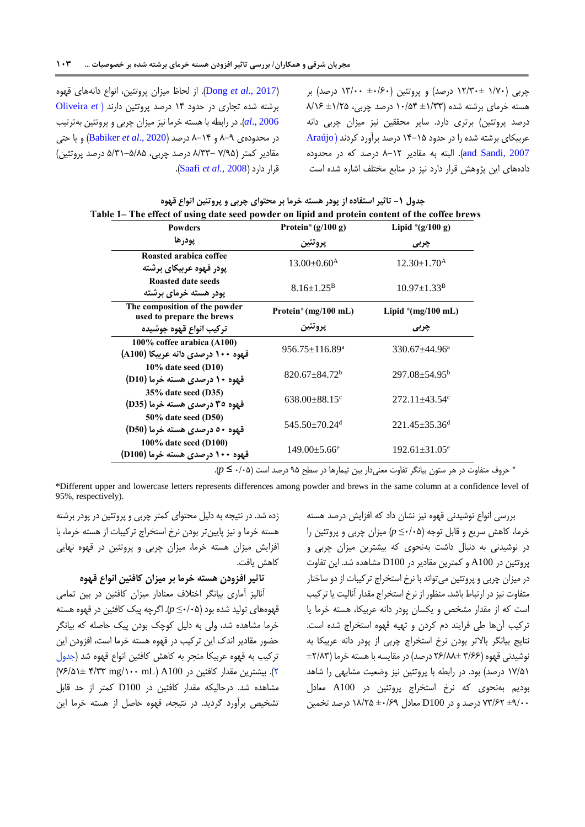)[2017 .,](#page-14-11)*al et* Dong). از لحاظ میزان پروتئین، انواع دانههای قهوه برشته شده تجاری در حدود 04 درصد پروتئین دارند [\)](#page-15-10) *et* [Oliveira](#page-15-10) [2006 .,](#page-15-10)*al*). در رابطه با هسته خرما نیز میزان چربی و پروتئین بهترتیب در محدودهی 8-6 و 8-04 درصد )2020 .,*al et* [Babiker](#page-14-9) )و یا حتی مقادیر کمتر )6/63 8/55- درصد چربی، 3/50-3/83 درصد پروتئین( .)[Saafi](#page-15-11) *et al.,* 2008( دارد قرار

<span id="page-6-0"></span>چربی (۱/۷۰ ±۱۲/۳۰ درصد) و پروتئین (۱۶۰+ ۱۳/۰۰ درصد) بر هسته خرمای برشته شده )±0/55 01/34 درصد چربی، ±0/13 8/07 درصد پروتئین) برتری دارد. سایر محققین نیز میزان چربی دانه عربیکای برشته شده را در حدود 04-03 درصد برآورد کردند ) [Araújo](#page-13-8) [2007 ,Sandi and](#page-13-8)). البته به مقادیر 8-01 درصد که در محدوده دادههای این پژوهش قرار دارد نیز در منابع مختلف اشاره شده است

|                                                                                                | ً جدول ۱- تأثیر استفاده از پودر هسته خرماً بر محتوای چربی و پروتئین انواع قهوه |  |
|------------------------------------------------------------------------------------------------|--------------------------------------------------------------------------------|--|
| Table 1– The effect of using date seed powder on lipid and protein content of the coffee brews |                                                                                |  |

| <b>Powders</b>                                             | Protein <sup>*</sup> ( $g/100 g$ ) | Lipid $\degree$ (g/100 g)       |  |
|------------------------------------------------------------|------------------------------------|---------------------------------|--|
| يودرها                                                     | يروتئين                            | چربی                            |  |
| Roasted arabica coffee                                     | $13.00 \pm 0.60^{\rm A}$           | $12.30 \pm 1.70$ <sup>A</sup>   |  |
| پودر قهوه عربیکای برشته                                    |                                    |                                 |  |
| Roasted date seeds                                         | $8.16 + 1.25^B$                    | $10.97 \pm 1.33^{\rm B}$        |  |
| یودر هسته خرما <i>ی</i> برشته                              |                                    |                                 |  |
| The composition of the powder<br>used to prepare the brews | Protein <sup>*</sup> (mg/100 mL)   | Lipid $(mg/100 \text{ mL})$     |  |
| تركيب انواع قهوه جوشيده                                    | يروتئين                            | چربی                            |  |
| 100% coffee arabica (A100)                                 | $956.75 \pm 116.89^{\text{a}}$     |                                 |  |
| قهوه ۱۰۰ درصدی دانه عربیکا (A100)                          |                                    | $330.67 \pm 44.96^{\text{a}}$   |  |
| $10\%$ date seed (D10)                                     | $820.67 + 84.72$ <sup>b</sup>      | $297.08 + 54.95^b$              |  |
| قهوه ۱۰ درصدی هسته خرما (D10)                              |                                    |                                 |  |
| 35% date seed (D35)                                        | $638.00+88.15^{\circ}$             | $272.11 \pm 43.54$ <sup>c</sup> |  |
| قهوه ۳۵ درصدي هسته خرما (D35)                              |                                    |                                 |  |
| 50% date seed (D50)                                        | $545.50+70.24d$                    | $221.45 \pm 35.36$ <sup>d</sup> |  |
| قهوه ۵۰ درصدي هسته خرما (D50)                              |                                    |                                 |  |
| 100% date seed (D100)<br>قهوه ۱۰۰ درصدی هسته خرما (D100)   | $149.00 \pm 5.66^e$                | $192.61 \pm 31.05^e$            |  |

\* حروف متفاوت در هر ستون بیانگر تفاوت معنیدار بین تیمارها در سطح 63 درصد است )1/13 ≤ *p*).

\*Different upper and lowercase letters represents differences among powder and brews in the same column at a confidence level of 95%, respectively).

زده شد. در نتیجه به دلیل محتوای کمتر چربی و پروتئین در پودر برشته هسته خرما و نیز پایینتر بودن نرخ استخراج ترکیبات از هسته خرما، با افزایش میزان هسته خرما، میزان چربی و پروتئین در قهوه نهایی کاهش یافت.

## **تاثیر افزودن هسته خرما بر میزان کافئین انواع قهوه**

آنالیز آماری بیانگر اختالف معنادار میزان کافئین در بین تمامی قهوههای تولید شده بود )1/13≤ *p*). اگرچه پیک کافئین در قهوه هسته خرما مشاهده شد، ولی به دلیل کوچک بودن پیک حاصله که بیانگر حضور مقادیر اندک این ترکیب در قهوه هسته خرما است، افزودن این ترکیب به قهوه عربیکا منجر به کاهش کافئین انواع قهوه شد [\)جدول](#page-7-0)  [1\(.](#page-7-0) بیشترین مقدار کافئین در 100A( mL /011mg 4/55 67/30± ) مشاهده شد. درحالیکه مقدار کافئین در 100D کمتر از حد قابل تشخیص برآورد گردید. در نتیجه، قهوه حاصل از هسته خرما این

بررسی انواع نوشیدنی قهوه نیز نشان داد که افزایش درصد هسته خرما، کاهش سریع و قابل توجه )1/13≤ *p* )میزان چربی و پروتئین را در نوشیدنی به دنبال داشت بهنحوی که بیشترین میزان چربی و پروتئین در 100A و کمترین مقادیر در 100D مشاهده شد. این تفاوت در میزان چربی و پروتئین میتواند با نرخ استخراج ترکیبات از دو ساختار متفاوت نیز در ارتباط باشد. منظور از نرخ استخراج مقدار آنالیت یا ترکیب است که از مقدار مشخص و یکسان پودر دانه عربیکا، هسته خرما یا ترکیب آنها طی فرایند دم کردن و تهیه قهوه استخراج شده است. نتایج بیانگر باالتر بودن نرخ استخراج چربی از پودر دانه عربیکا به نوشیدنی قهوه )5/77 17/88± درصد( در مقایسه با هسته خرما )±1/85 06/30 درصد( بود. در رابطه با پروتئین نیز وضعیت مشابهی را شاهد بودیم بهنحوی که نرخ استخراج پروتئین در 100A معادل ±6/11 65/71 درصد و در 100D معادل ±1/76 08/13 درصد تخمین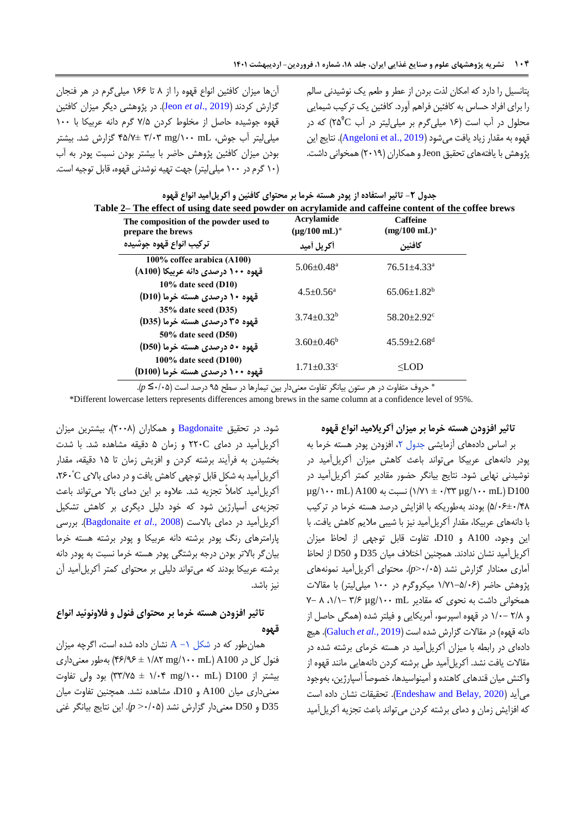آنها میزان کافئین انواع قهوه را از 8 تا 077 میلیگرم در هر فنجان گزارش کردند )[2019 .,](#page-15-12)*al et* Jeon). در پژوهشی دیگر میزان کافئین قهوه جوشیده حاصل از مخلوط کردن 6/3 گرم دانه عربیکا با 011 میلیلیتر آب جوش، mL /011mg 5/15 43/6± گزارش شد. بیشتر بودن میزان کافئین پژوهش حاضر با بیشتر بودن نسبت پودر به آب )01 گرم در 011 میلیلیتر( جهت تهیه نوشدنی قهوه، قابل توجیه است.

پتانسیل را دارد که امکان لذت بردن از عطر و طعم یک نوشیدنی سالم را برای افراد حساس به کافئین فراهم آورد. کافئین یک ترکیب شیمایی محلول در آب است (۱۶ میلیگرم بر میلیلیتر در آب ۲۵<sup>°</sup>۲۵) که در قهوه به مقدار زیاد یافت می شود (Angeloni et al., 2019). نتایج این پژوهش با یافتههای تحقیق Jeon و همکاران )1106( همخوانی داشت.

<span id="page-7-0"></span>

| Table 2— The effect of using date seed powder on acrylamide and caffeine content of the coffee brews |                                     |                                            |  |  |  |
|------------------------------------------------------------------------------------------------------|-------------------------------------|--------------------------------------------|--|--|--|
| The composition of the powder used to<br>prepare the brews                                           | Acrylamide<br>$(\mu$ g/100 mL $)^*$ | <b>Caffeine</b><br>$(mg/100 \text{ mL})^*$ |  |  |  |
| تركيب انواع قهوه جوشيده                                                                              | أكريل أميد                          | كافئين                                     |  |  |  |
| 100% coffee arabica (A100)<br>قهوه ۱۰۰ درصدی دانه عربیکا (A100)                                      | $5.06 \pm 0.48$ <sup>a</sup>        | $76.51 + 4.33$ <sup>a</sup>                |  |  |  |
| $10\%$ date seed (D10)<br>قهوه ۱۰ درصدی هسته خرما (D10)                                              | $4.5 \pm 0.56^a$                    | $65.06 \pm 1.82^b$                         |  |  |  |
| 35% date seed (D35)<br>قهوه ۳۵ درصدي هسته خرما (D35)                                                 | $3.74 + 0.32^b$                     | $58.20 \pm 2.92$ <sup>c</sup>              |  |  |  |
| $50\%$ date seed (D50)<br>قهوه ۵۰ درصدي هسته خرما (D50)                                              | $3.60 \pm 0.46^b$                   | $45.59 \pm 2.68$ <sup>d</sup>              |  |  |  |
| $100\%$ date seed (D100)<br>قهوه ۱۰۰ درصدی هسته خرما (D100)                                          | $1.71 \pm 0.33$ <sup>c</sup>        | $<$ LOD                                    |  |  |  |

|  | جدول ۲- تاثیر استفاده از پودر هسته خرما بر محتوای کافئین و أکریلأمید انواع قهوه |                                                                                       |  |
|--|---------------------------------------------------------------------------------|---------------------------------------------------------------------------------------|--|
|  |                                                                                 | The effect of using date seed nowder on acrylamide and caffeine content of the coffee |  |

\* حروف متفاوت در هر ستون بیانگر تفاوت معنیدار بین تیمارها در سطح 63 درصد است )1/13≤ *<sup>p</sup>*).

\*Different lowercase letters represents differences among brews in the same column at a confidence level of 95%.

شود. در تحقیق [Bagdonaite](#page-14-13) و همکاران )1118(، بیشترین میزان آکریلآمید در دمای C111 و زمان 3 دقیقه مشاهده شد. با شدت بخشیدن به فرآیند برشته کردن و افزیش زمان تا 03 دقیقه، مقدار º آکریلآمید به شکل قابل توجهی کاهش یافت و در دمای باالی C ،171 آکریلآمید کامالً تجزیه شد. عالوه بر این دمای باال میتواند باعث تجزیهی آسپارژین شود که خود دلیل دیگری بر کاهش تشکیل آکریلآمید در دمای باالست )2008 .,*al et* [Bagdonaite](#page-14-13)). بررسی پارامترهای رنگ پودر برشته دانه عربیکا و پودر برشته هسته خرما بیانگر باالتر بودن درجه برشتگی پودر هسته خرما نسبت به پودر دانه برشته عربیکا بودند که میتواند دلیلی بر محتوای کمتر آکریلآمید آن نیز باشد.

## **تاثیر افزودن هسته خرما بر محتوای فنول و فالونوئید انواع قهوه**

همانطور که در [شکل](#page-8-0) ۰- A نشان داده شده است، اگرچه میزان فنول کل در 100A( mL /011mg 0/81 ± 47/67 )بهطور معنیداری بیشتر از D100 D( mg/۱۰۰ mL + ۱/۰۴ ± ۳۳/۷۵) بود ولی تفاوت معنیداری میان 100A و 10D، مشاهده نشد. همچنین تفاوت میان 35D و 50D معنیدار گزارش نشد )1/13> *p*). این نتایج بیانگر غنی

### **تاثیر افزودن هسته خرما بر میزان آکریالمید انواع قهوه**

بر اساس دادههای آزمایشی جدول ۲، افزودن پودر هسته خرما به پودر دانههای عربیکا میتواند باعث کاهش میزان آکریلآمید در نوشیدنی نهایی شود. نتایج بیانگر حضور مقادیر کمتر آکریلآمید در  $\mu$ g/\ $\cdot \cdot$  mL) A100 سبت به O100  $\cdot \cdot$  ng/\ $\cdot \cdot$ mL)  $\mu$ g/ 3/17±1/48( بودند بهطوریکه با افزایش درصد هسته خرما در ترکیب با دانههای عربیکا، مقدار آکریلآمید نیز با شیبی مالیم کاهش یافت. با این وجود، 100A و 10D، تفاوت قابل توجهی از لحاظ میزان آکریلآمید نشان ندادند. همچنین اختالف میان 35D و 50D از لحاظ آماری معنادار گزارش نشد )1/13>*p*). محتوای آکریلآمید نمونههای پژوهش حاضر )0/60-3/17 میکروگرم در 011 میلیلیتر( با مقاالت  $V - \Lambda$  ( $\Lambda$ /) − ۳/۶ µg/ (1011) ممخوانی داشت به نحوی که مقادیر و 1/8 0/1- در قهوه اسپرسو، آمریکایی و فیلتر شده )همگی حاصل از دانه قهوه( در مقاالت گزارش شده است )2019 .,*al et* [Galuch](#page-14-12)). هیچ دادهای در رابطه با میزان آکریلآمید در هسته خرمای برشته شده در مقاالت یافت نشد. آکریلآمید طی برشته کردن دانههایی مانند قهوه از واکنش میان قندهای کاهنده و آمینواسیدها، خصوصاً آسپارژین، بهوجود میآید )[2020 ,Belay and Endeshaw](#page-14-10)). تحقیقات نشان داده است که افزایش زمان و دمای برشته کردن میتواند باعث تجزیه آکریلآمید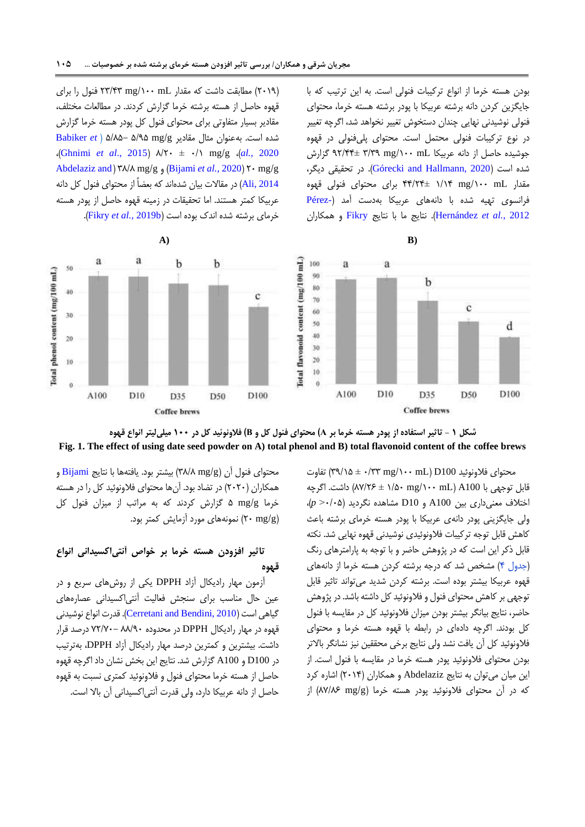بودن هسته خرما از انواع ترکیبات فنولی است. به این ترتیب که با جایگزین کردن دانه برشته عربیکا با پودر برشته هسته خرما، محتوای فنولی نوشیدنی نهایی چندان دستخوش تغییر نخواهد شد، اگرچه تغییر در نوع ترکیبات فنولی محتمل است. محتوای پلیفنولی در قهوه جوشیده حاصل از دانه عربیکا mL /011mg 5/56 61/44± گزارش شده است )[2020 ,Hallmann and Górecki](#page-14-14)). در تحقیقی دیگر، مقدار mL /011mg 0/04 44/14± برای محتوای فنولی قهوه فرانسوی تهیه شده با دانههای عربیکا بهدست آمد [\)](#page-15-13)[-Pérez](#page-15-13) 2012 *.*,*al et* [Hernández](#page-15-13)). نتایج ما با نتایج [Fikry](#page-14-1) و همکاران

)1106( مطابقت داشت که مقدار mL /011mg 15/45 فنول را برای قهوه حاصل از هسته برشته خرما گزارش کردند. در مطالعات مختلف، مقادیر بسیار متفاوتی برای محتوای فنول کل پودر هسته خرما گزارش شده است. بهعنوان مثال مقادیر g/mg 3/63 3/83- ( *et* [Babiker](#page-14-9) ،)[Ghnimi](#page-14-4) *et al*., 2015( 8/11 ± 1/0 mg/g ،)*al.,* [2020](#page-14-9) [Abdelaziz and](#page-13-5) ( 58/8 mg/g و( [Bijami](#page-14-15) *et al.*, 2020( 11 mg/g [2014 ,Ali](#page-13-5) )در مقاالت بیان شدهاند که بعضاً از محتوای فنول کل دانه عربیکا کمتر هستند. اما تحقیقات در زمینه قهوه حاصل از پودر هسته خرمای برشته شده اندک بوده است (Fikry et al., 2019b).





<span id="page-8-0"></span>محتوای فلاونوئید 100 $\ln\left( \frac{m}{\lambda} \pm \frac{1}{2} \right)$  تفاوت قابل توجهی با A100 (AY/۲۶ ± ۱/۵۰ mg/۱۰۰ mL) داشت. اگرچه اختالف معنیداری بین 100A و 10D مشاهده نگردید )1/13> *p*)، ولی جایگزینی پودر دانهی عربیکا با پودر هسته خرمای برشته باعث کاهش قابل توجه ترکیبات فالونوئیدی نوشیدنی قهوه نهایی شد. نکته قابل ذکر این است که در پژوهش حاضر و با توجه به پارامترهای رنگ [\)جدول 4\(](#page-10-0) مشخص شد که درجه برشته کردن هسته خرما از دانههای قهوه عربیکا بیشتر بوده است. برشته کردن شدید میتواند تاثیر قابل توجهی بر کاهش محتوای فنول و فالونوئید کل داشته باشد. در پژوهش حاضر، نتایج بیانگر بیشتر بودن میزان فالونوئید کل در مقایسه با فنول کل بودند. اگرچه دادهای در رابطه با قهوه هسته خرما و محتوای فالونوئید کل آن یافت نشد ولی نتایج برخی محققین نیز نشانگر باالتر بودن محتوای فالونوئید پودر هسته خرما در مقایسه با فنول است. از این میان میتوان به نتایج Abdelaziz و همکاران )1104( اشاره کرد که در آن محتوای فالونوئید پودر هسته خرما )g/mg 86/87 )از

محتوای فنول آن (۳۸/۸ mg/g) بیشتر بود. یافتهها با نتایج [Bijami](#page-14-15) و همکاران (۲۰۲۰) در تضاد بود. آنها محتوای فلاونوئید کل را در هسته خرما g/mg 3 گزارش کردند که به مراتب از میزان فنول کل )g/mg 11 )نمونههای مورد آزمایش کمتر بود.

## **تاثیر افزودن هسته خرما بر خواص آنتیاکسیدانی انواع قهوه**

آزمون مهار رادیکال آزاد DPPH یکی از روشهای سریع و در عین حال مناسب برای سنجش فعالیت آنتیاکسیدانی عصارههای گیاهی است )[2010 ,Bendini and Cerretani](#page-14-8)). قدرت انواع نوشیدنی قهوه در مهار رادیکال DPPH در محدوده 88/61 61/61- درصد قرار داشت. بیشترین و کمترین درصد مهار رادیکال آزاد DPPH، بهترتیب در 100D و 100A گزارش شد. نتایج این بخش نشان داد اگرچه قهوه حاصل از هسته خرما محتوای فنول و فالونوئید کمتری نسبت به قهوه حاصل از دانه عربیکا دارد، ولی قدرت آنتیاکسیدانی آن باال است.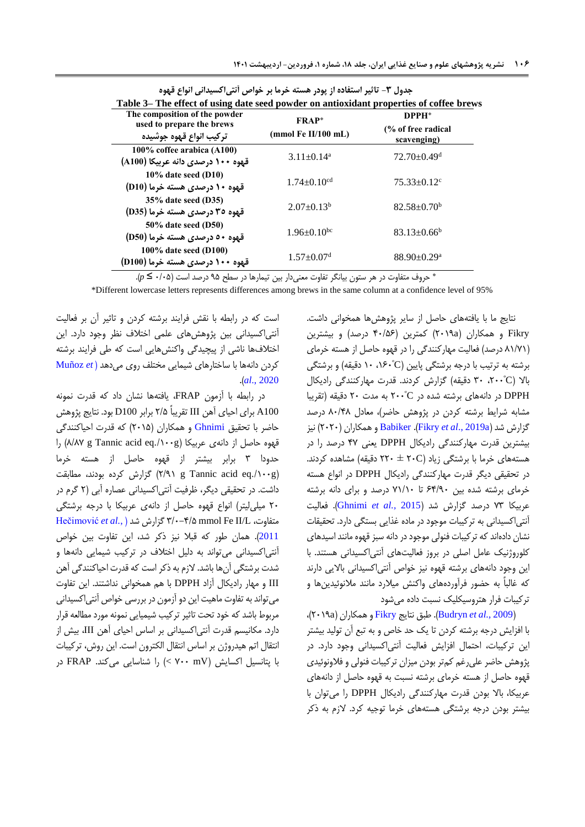| Table 3– The effect of using date seed powder on antioxidant properties of coffee brews |                                        |                                                        |  |  |
|-----------------------------------------------------------------------------------------|----------------------------------------|--------------------------------------------------------|--|--|
| The composition of the powder<br>used to prepare the brews<br>تركيب انواع قهوه جوشيده   | <b>FRAP*</b><br>$(mmol)$ Fe II/100 mL) | DPPH <sup>*</sup><br>(% of free radical<br>scavenging) |  |  |
| 100% coffee arabica (A100)<br>قهوه ۱۰۰ درصدی دانه عربیکا (A100)                         | $3.11 \pm 0.14^a$                      | $72.70 \pm 0.49$ <sup>d</sup>                          |  |  |
| $10\%$ date seed (D10)<br>قهوه ۱۰ درصدی هسته خرما (D10)                                 | $1.74 \pm 0.10$ <sup>cd</sup>          | $75.33 \pm 0.12$ <sup>c</sup>                          |  |  |
| 35% date seed (D35)<br>قهوه ۳۵ درصدی هسته خرما (D35)                                    | $2.07 \pm 0.13^b$                      | $82.58 \pm 0.70^b$                                     |  |  |
| 50% date seed (D50)<br>قهوه ٥٠ درصدي هسته خرما (D50)                                    | $1.96 \pm 0.10^{bc}$                   | $83.13 \pm 0.66^b$                                     |  |  |
| 100% date seed (D100)<br>قهوه ۱۰۰ درصدی هسته خرما (D100)                                | $1.57 \pm 0.07$ <sup>d</sup>           | $88.90 \pm 0.29$ <sup>a</sup>                          |  |  |

**جدول -3 تاثیر استفاده از پودر هسته خرما بر خواص آنتیاکسیدانی انواع قهوه**

\* حروف متفاوت در هر ستون بیانگر تفاوت معنیدار بین تیمارها در سطح 63 درصد است )1/13 ≤ *<sup>p</sup>*).

\*Different lowercase letters represents differences among brews in the same column at a confidence level of 95%

نتایج ما با یافتههای حاصل از سایر پژوهشها همخوانی داشت. Fikry و همکاران )a1106 )کمترین )41/37 درصد( و بیشترین )80/60 درصد( فعالیت مهارکنندگی را در قهوه حاصل از هسته خرمای برشته به ترتیب با درجه برشتگی پایین (C°۱۶۰، ۱۰ دقیقه) و برشتگی بالا (۲۰۰°، ۳۰ دقیقه) گزارش کردند. قدرت مهارکنندگی رادیکال DPPH در دانههای برشته شده در <sup>º</sup>C111 به مدت 11 دقیقه )تقریبا مشابه شرایط برشته کردن در پژوهش حاضر(، معادل 81/48 درصد گزارش شد )[a2019 .,](#page-14-1)*al et* Fikry). [Babiker](#page-14-9) و همکاران )1111( نیز بیشترین قدرت مهارکنندگی رادیکال DPPH یعنی 46 درصد را در هستههای خرما با برشتگی زیاد )C11 ± 111 دقیقه( مشاهده کردند. در تحقیقی دیگر قدرت مهارکنندگی رادیکال DPPH در انواع هسته خرمای برشته شده بین 74/61 تا 60/01 درصد و برای دانه برشته عربیکا 65 درصد گزارش شد )2015 *.,al et* [Ghnimi](#page-14-4)). فعالیت آنتیاکسیدانی به ترکیبات موجود در ماده غذایی بستگی دارد. تحقیقات نشان دادهاند که ترکیبات فنولی موجود در دانه سبز قهوه مانند اسیدهای کلوروژنیک عامل اصلی در بروز فعالیتهای آنتیاکسیدانی هستند. با این وجود دانههای برشته قهوه نیز خواص آنتیاکسیدانی باالیی دارند که غالباً به حضور فرآوردههای واکنش میالرد مانند مالنوئیدینها و ترکیبات فرار هتروسیکلیک نسبت داده میشود

 ،)1106a( همکاران و [Fikry](#page-14-1) نتایج طبق .([Budryn](#page-14-15) *et al.,* 2009( با افزایش درجه برشته کردن تا یک حد خاص و به تبع آن تولید بیشتر این ترکیبات، احتمال افزایش فعالیت آنتیاکسیدانی وجود دارد. در پژوهش حاضر علیرغم کمتر بودن میزان ترکیبات فنولی و فالونوئیدی قهوه حاصل از هسته خرمای برشته نسبت به قهوه حاصل از دانههای عربیکا، باال بودن قدرت مهارکنندگی رادیکال DPPH را میتوان با بیشتر بودن درجه برشتگی هستههای خرما توجیه کرد. الزم به ذکر

است که در رابطه با نقش فرایند برشته کردن و تاثیر آن بر فعالیت آنتیاکسیدانی بین پژوهشهای علمی اختالف نظر وجود دارد. این اختالفها ناشی از پیچیدگی واکنشهایی است که طی فرایند برشته کردن دانهها با ساختارهای شیمایی مختلف روی میدهد )*e[t](#page-15-14)* [Muñoz](#page-15-14) .)*al*[., 2020](#page-15-14)

در رابطه با آزمون FRAP، یافتهها نشان داد که قدرت نمونه 100A برای احیای آهن III تقریباً 1/3 برابر 100D بود. نتایج پژوهش حاضر با تحقیق [Ghnimi](#page-14-4) و همکاران (۲۰۱۵) که قدرت احیاکنندگی قهوه حاصل از دانهی عربیکا )g./011eq acid Tannic g 8/86 )را حدودا 5 برابر بیشتر از قهوه حاصل از هسته خرما مطابقت ،بودند کرده گزارش( 1/60 g Tannic acid eq./011g( داشت. در تحقیقی دیگر، ظرفیت آنتیاکسیدانی عصاره آبی )1 گرم در ۲۰ میلی لیتر) انواع قهوه حاصل از دانهی عربیکا با درجه برشتگی [Hečimović](#page-15-15) *et al.*[,](#page-15-15) (شد گزارش 5/1-4/3 mmol Fe II/L ،متفاوت [2011](#page-15-15)(. همان طور که قبال نیز ذکر شد، این تفاوت بین خواص آنتیاکسیدانی میتواند به دلیل اختالف در ترکیب شیمایی دانهها و شدت برشتگی آنها باشد. الزم به ذکر است که قدرت احیاکنندگی آهن III و مهار رادیکال آزاد DPPH با هم همخوانی نداشتند. این تفاوت میتواند به تفاوت ماهیت این دو آزمون در بررسی خواص آنتیاکسیدانی مربوط باشد که خود تحت تاثیر ترکیب شیمیایی نمونه مورد مطالعه قرار دارد. مکانیسم قدرت آنتیاکسیدانی بر اساس احیای آهن III، بیش از انتقال اتم هیدروژن بر اساس انتقال الکترون است. این روش، ترکیبات با پتانسیل اکسایش )mV 611 )< را شناسایی میکند. FRAP در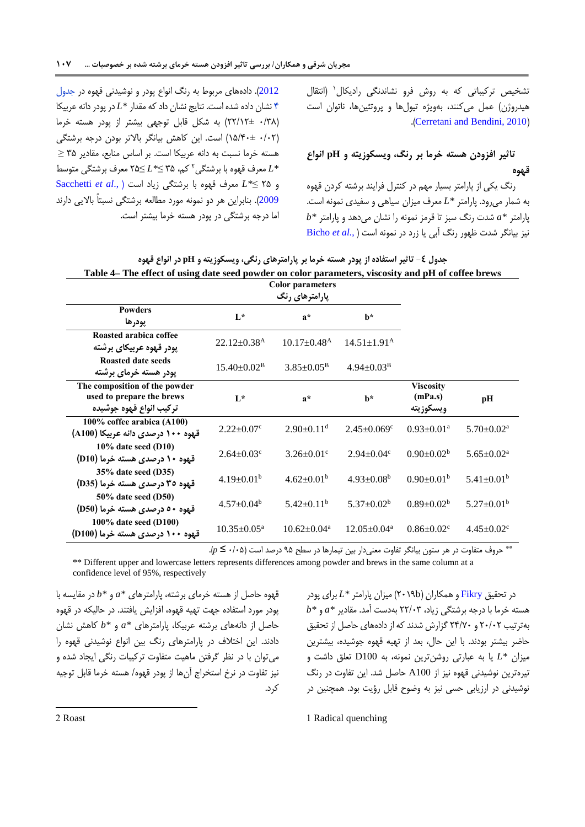0 تشخیص ترکیباتی که به روش فرو نشاندنگی رادیکال )انتقال هیدروژن) عمل میکنند، بهویژه تیولها و پروتئینها، ناتوان است .([Cerretani and Bendini, 2010](#page-14-8))

## **تاثیر افزودن هسته خرما بر رنگ، ویسکوزیته و pH انواع قهوه**

<span id="page-10-0"></span>رنگ یکی از پارامتر بسیار مهم در کنترل فرایند برشته کردن قهوه به شمار میرود. پارامتر *\*L* معرف میزان سیاهی و سفیدی نمونه است. پارامتر *\*a* شدت رنگ سبز تا قرمز نمونه را نشان میدهد و پارامتر *\*b* نیز بیانگر شدت ظهور رنگ آبی یا زرد در نمونه است [\)](#page-14-17) *.*,*al et* [Bicho](#page-14-17)

[2012](#page-14-17)(. دادههای مربوط به رنگ انواع پودر و نوشیدنی قهوه در [جدول](#page-10-0)  [4](#page-10-0) نشان داده شده است. نتایج نشان داد که مقدار *\*L* در پودر دانهعربیکا )1/58 11/01±( به شکل قابل توجهی بیشتر از پودر هسته خرما )1/11 03/41±( است. این کاهش بیانگر باالتر بودن درجه برشتگی هسته خرما نسبت به دانه عربیکا است. بر اساس منابع، مقادیر 53 ≥ 1 *\*L* معرف قهوه با برشتگی کم، 53 ≤*\*L*≥ 13 معرف برشتگی متوسط و 13 ≤*\*L* معرف قهوه با برشتگی زیاد است ).,*al et* [Sacchetti](#page-15-16) [2009](#page-15-16)(. بنابراین هر دو نمونه مورد مطالعه برشتگی نسبتاً باالیی دارند اما درجه برشتگی در پودر هسته خرما بیشتر است.

| جدول ک− تاثیر استفاده از پودر هسته خرما بر پارامترهای رنگی، ویسکوزیته و pH در انواع قهوه            |  |
|-----------------------------------------------------------------------------------------------------|--|
| Table 4– The effect of using date seed powder on color parameters, viscosity and pH of coffee brews |  |

|                                   |                               | <b>Color parameters</b>       |                               |                              |                              |
|-----------------------------------|-------------------------------|-------------------------------|-------------------------------|------------------------------|------------------------------|
|                                   |                               |                               |                               |                              |                              |
| <b>Powders</b>                    |                               |                               |                               |                              |                              |
| يودرها                            | $L^*$                         | $a^*$                         | $h^*$                         |                              |                              |
| Roasted arabica coffee            |                               |                               |                               |                              |                              |
| یودر قهوه عربیکا <i>ی</i> برشته   | $22.12 \pm 0.38$ <sup>A</sup> | $10.17 \pm 0.48$ <sup>A</sup> | $14.51 \pm 1.91^{\text{A}}$   |                              |                              |
| <b>Roasted date seeds</b>         | $15.40 \pm 0.02^{\rm B}$      | $3.85 \pm 0.05^{\rm B}$       | $4.94 \pm 0.03^{\rm B}$       |                              |                              |
| یودر هسته خرما <i>ی</i> برشته     |                               |                               |                               |                              |                              |
| The composition of the powder     |                               |                               |                               | Viscosity                    |                              |
| used to prepare the brews         | $L^*$                         | $a^*$                         | $h^*$                         | (mPa.s)                      | pН                           |
| تركيب انواع قهوه جوشيده           |                               |                               |                               | ويسكوزيته                    |                              |
| 100% coffee arabica (A100)        | $2.22 \pm 0.07$ <sup>c</sup>  | $2.90 \pm 0.11$ <sup>d</sup>  | $2.45 \pm 0.069$ <sup>c</sup> | $0.93 \pm 0.01$ <sup>a</sup> | $5.70 \pm 0.02^{\text{a}}$   |
| قهوه ۱۰۰ درصدی دانه عربیکا (A100) |                               |                               |                               |                              |                              |
| $10\%$ date seed (D10)            | $2.64 \pm 0.03$ <sup>c</sup>  | $3.26 \pm 0.01$ °             | $2.94 \pm 0.04$ <sup>c</sup>  | $0.90 \pm 0.02^b$            | $5.65 \pm 0.02^{\text{a}}$   |
| قهوه ۱۰ درصدی هسته خرما (D10)     |                               |                               |                               |                              |                              |
| $35\%$ date seed (D35)            | $4.19 \pm 0.01^{\rm b}$       | $4.62 \pm 0.01^{\rm b}$       | $4.93 \pm 0.08^b$             | $0.90 \pm 0.01^{\rm b}$      | $5.41 \pm 0.01^{\rm b}$      |
| قهوه ۳۵ درصدي هسته خرما (D35)     |                               |                               |                               |                              |                              |
| 50% date seed (D50)               | $4.57 \pm 0.04^b$             | $5.42 \pm 0.11^b$             | $5.37 \pm 0.02^b$             | $0.89 \pm 0.02^b$            | $5.27 \pm 0.01^{\rm b}$      |
| قهوه ۵۰ درصدي هسته خرما (D50)     |                               |                               |                               |                              |                              |
| 100% date seed (D100)             |                               |                               | $12.05 \pm 0.04^a$            |                              |                              |
| قهوه ۱۰۰ درصدی هسته خرما (D100)   | $10.35 \pm 0.05^{\text{a}}$   | $10.62 \pm 0.04$ <sup>a</sup> |                               | $0.86 \pm 0.02$ <sup>c</sup> | $4.45 \pm 0.02$ <sup>c</sup> |

حروف متفاوت در هر ستون بیانگر تفاوت معنیدار بین تیمارها در سطح 63 درصد است )1/13 ≤ *<sup>p</sup>*).\*\*

\*\* Different upper and lowercase letters represents differences among powder and brews in the same column at a confidence level of 95%, respectively

قهوه حاصل از هسته خرمای برشته، پارامترهای *\*a* و *\*b* در مقایسه با پودر مورد استفاده جهت تهیه قهوه، افزایش یافتند. در حالیکه در قهوه حاصل از دانههای برشته عربیکا، پارامترهای *\*a* و *\*b* کاهش نشان دادند. این اختالف در پارامترهای رنگ بین انواع نوشیدنی قهوه را میتوان با در نظر گرفتن ماهیت متفاوت ترکیبات رنگی ایجاد شده و نیز تفاوت در نرخ استخراج آنها از پودر قهوه/ هسته خرما قابل توجیه کرد.

در تحقیق [Fikry](#page-14-16) و همکاران )b1106 )میزان پارامتر *\*L* برای پودر هسته خرما با درجه برشتگی زیاد، 11/15 بهدست آمد. مقادیر *\*a* و *\*b* بهترتیب 11/11 و 14/61 گزارش شدند که از دادههای حاصل از تحقیق حاضر بیشتر بودند. با این حال، بعد از تهیه قهوه جوشیده، بیشترین میزان *\*L* یا به عبارتی روشنترین نمونه، به 100D تعلق داشت و تیرهترین نوشیدنی قهوه نیز از 100A حاصل شد. این تفاوت در رنگ نوشیدنی در ارزیابی حسی نیز به وضوح قابل رؤیت بود. همچنین در

1 Radical quenching

2 Roast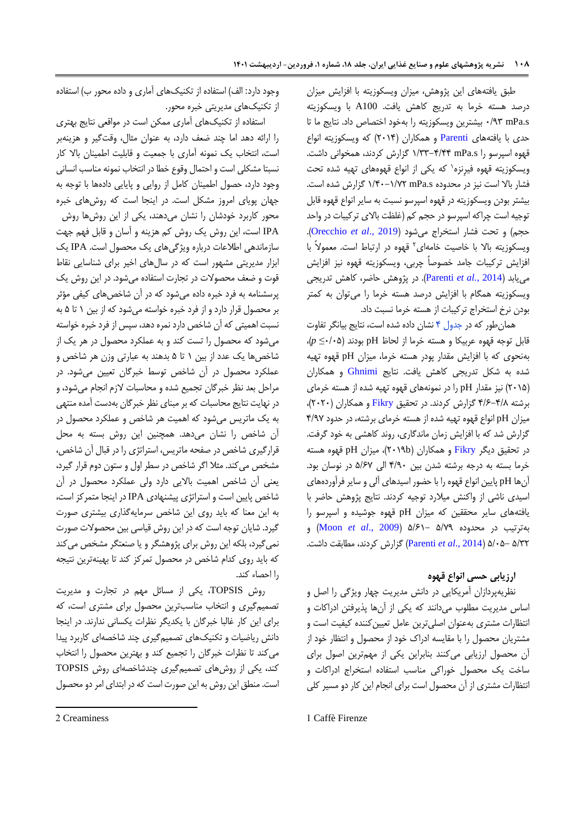طبق یافتههای این پژوهش، میزان ویسکوزیته با افزایش میزان درصد هسته خرما به تدریج کاهش یافت. 100A با ویسکوزیته s.mPa 1/65 بیشترین ویسکوزیته را بهخود اختصاص داد. نتایج ما تا حدی با یافتههای [Parenti](#page-15-17) و همکاران )1104( که ویسکوزیته انواع قهوه اسپرسو را s.mPa 0/55-4/44 گزارش کردند، همخوانی داشت. ویسکوزیته قهوه فیرِنزه<sup>۱</sup> که یکی از انواع قهوههای تهیه شده تحت فشار باال است نیز در محدوده s.mPa 0/41-0/61 گزارش شده است. بیشتر بودن ویسکوزیته در قهوه اسپرسو نسبت به سایر انواع قهوه قابل توجیه است چراکه اسپرسو در حجم کم (غلظت بالای ترکیبات در واحد حجم( و تحت فشار استخراج میشود )2019 .,*al et* [Orecchio](#page-15-18)). ویسکوزیته بالا با خاصیت خامهای<sup>۲</sup> قهوه در ارتباط است. معمولاً با افزایش ترکیبات جامد خصوصاً چربی، ویسکوزیته قهوه نیز افزایش مییابد )2014 *.*,*al et* [Parenti](#page-15-17)). در پژوهش حاضر، کاهش تدریجی ویسکوزیته همگام با افزایش درصد هسته خرما را میتوان به کمتر بودن نرخ استخراج ترکیبات از هسته خرما نسبت داد.

همانطور که در [جدول 4](#page-10-0) نشان داده شده است، نتایج بیانگر تفاوت قابل توجه قهوه عربیکا و هسته خرما از لحاظ pH بودند )1/13≤ *p*)، بهنحوی که با افزایش مقدار پودر هسته خرما، میزان pH قهوه تهیه شده به شکل تدریجی کاهش یافت. نتایج [Ghnimi](#page-14-4) و همکاران )1103( نیز مقدار pH را در نمونههای قهوه تهیه شده از هسته خرمای برشته 4/7-4/8 گزارش کردند. در تحقیق [Fikry](#page-14-5) و همکاران )1111(، میزان pH انواع قهوه تهیه شده از هسته خرمای برشته، در حدود 4/66 گزارش شد که با افزایش زمان ماندگاری، روند کاهشی به خود گرفت. در تحقیق دیگر [Fikry](#page-14-16) و همکاران (۲۰۱۹b)، میزان pH قهوه هسته خرما بسته به درجه برشته شدن بین 4/61 الی 3/76 در نوسان بود. آنها pH پایین انواع قهوه را با حضور اسیدهای آلی و سایر فرآوردههای اسیدی ناشی از واکنش میالرد توجیه کردند. نتایج پژوهش حاضر با یافتههای سایر محققین که میزان pH قهوه جوشیده و اسپرسو را بهترتیب در محدوده 3/66 3/70- )[2009 .,](#page-15-19)*al et* Moon )و 3/51 3/13- )2014 .,*al et* [Parenti](#page-15-17) )گزارش کردند، مطابقت داشت.

## **ارزیابی حسی انواع قهوه**

نظریهپردازان آمریکایی در دانش مدیریت چهار ویژگی را اصل و اساس مدیریت مطلوب میدانند که یکی از آنها پذیرفتن ادراکات و انتظارات مشتری بهعنوان اصلیترین عامل تعیینکننده کیفیت است و مشتریان محصول را با مقایسه ادراک خود از محصول و انتظار خود از آن محصول ارزیابی میکنند بنابراین یکی از مهمترین اصول برای ساخت یک محصول خوراکی مناسب استفاده استخراج ادراکات و انتظارات مشتری از آن محصول است برای انجام این کار دو مسیر کلی

وجود دارد: الف) استفاده از تکنیکهای آماری و داده محور ب) استفاده از تکنیکهای مدیریتی خبره محور.

استفاده از تکنیکهای آماری ممکن است در مواقعی نتایج بهتری را ارائه دهد اما چند ضعف دارد، به عنوان مثال، وقتگیر و هزینهبر است، انتخاب یک نمونه آماری با جمعیت و قابلیت اطمینان باال کار نسبتا مشکلی است و احتمال وقوع خطا در انتخاب نمونه مناسب انسانی وجود دارد، حصول اطمینان کامل از روایی و پایایی دادهها با توجه به جهان پویای امروز مشکل است. در اینجا است که روشهای خبره محور کاربرد خودشان را نشان میدهند، یکی از این روشها روش IPA است، این روش یک روش کم هزینه و آسان و قابل فهم جهت سازماندهی اطالعات درباره ویژگیهای یک محصول است. IPA یک ابزار مدیریتی مشهور است که در سالهای اخیر برای شناسایی نقاط قوت و ضعف محصوالت در تجارت استفاده میشود. در این روش یک پرسشنامه به فرد خبره داده میشود که در آن شاخصهای کیفی مؤثر بر محصول قرار دارد و از فرد خبره خواسته میشود که از بین 0 تا 3 به نسبت اهمیتی که آن شاخص دارد نمره دهد، سپس از فرد خبره خواسته میشود که محصول را تست کند و به عملکرد محصول در هر یک از شاخصها یک عدد از بین 0 تا 3 بدهند به عبارتی وزن هر شاخص و عملکرد محصول در آن شاخص توسط خبرگان تعیین میشود. در مراحل بعد نظر خبرگان تجمیع شده و محاسبات الزم انجام میشود، و در نهایت نتایج محاسبات که بر مبنای نظر خبرگان بهدست آمده منتهی به یک ماتریس میشود که اهمیت هر شاخص و عملکرد محصول در آن شاخص را نشان میدهد. همچنین این روش بسته به محل قرارگیری شاخص در صفحه ماتریس، استراتژی را در قبال آن شاخص، مشخص میکند. مثال اگر شاخص در سطر اول و ستون دوم قرار گیرد، یعنی آن شاخص اهمیت باالیی دارد ولی عملکرد محصول در آن شاخص پایین است و استراتژی پیشنهادی IPA در اینجا متمرکز است، به این معنا که باید روی این شاخص سرمایهگذاری بیشتری صورت گیرد. شایان توجه است که در این روش قیاسی بین محصوالت صورت نمیگیرد، بلکه این روش برای پژوهشگر و یا صنعتگر مشخص میکند که باید روی کدام شاخص در محصول تمرکز کند تا بهینهترین نتیجه را احصاء کند.

روش TOPSIS، یکی از مسائل مهم در تجارت و مدیریت تصمیمگیری و انتخاب مناسبترین محصول برای مشتری است، که برای این کار غالبا خبرگان با یکدیگر نظرات یکسانی ندارند. در اینجا دانش ریاضیات و تکنیکهای تصمیمگیری چند شاخصهای کاربرد پیدا میکند تا نظرات خبرگان را تجمیع کند و بهترین محصول را انتخاب کند، یکی از روشهای تصمیمگیری چندشاخصهای روش TOPSIS است. منطق این روش به این صورت است که در ابتدای امر دو محصول

<sup>1</sup> Caffè Firenze

<sup>2</sup> Creaminess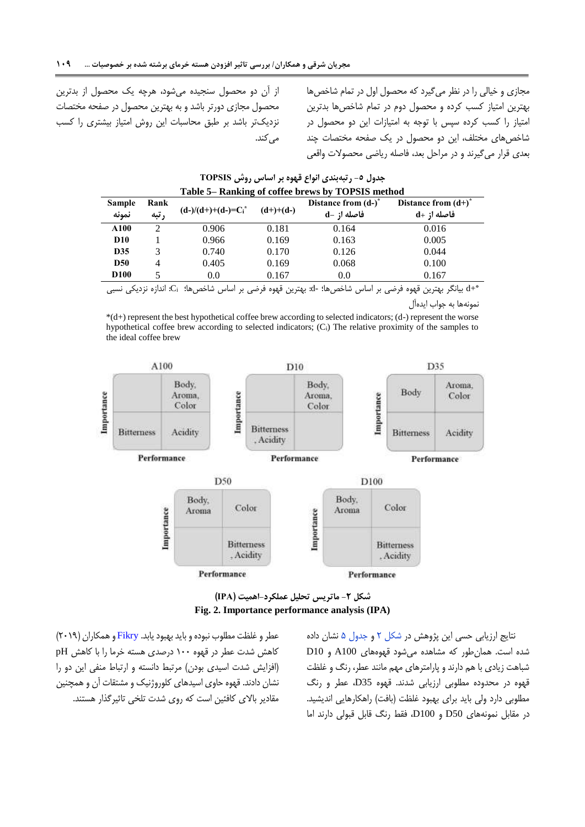از آن دو محصول سنجیده میشود، هرچه یک محصول از بدترین محصول مجازی دورتر باشد و به بهترین محصول در صفحه مختصات نزدیکتر باشد بر طبق محاسبات این روش امتیاز بیشتری را کسب <span id="page-12-1"></span>مجازی و خیالی را در نظر میگیرد که محصول اول در تمام شاخصها بهترین امتیاز کسب کرده و محصول دوم در تمام شاخصها بدترین امتیاز را کسب کرده سپس با توجه به امتیازات این دو محصول در شاخصهای مختلف، این دو محصول در یک صفحه مختصات چند بعدی قرار میگیرند و در مراحل بعد، فاصله ریاضی محصوالت واقعی

**Table 5– Ranking of coffee brews by TOPSIS method Sample نمونه Rank رتبه) d-)/(d+)+(d-)=C<sup>i</sup> \* (d+)+(d-) Distance from (d-) \* فاصله از -d Distance from (d+)\* فاصله از +d A100** 2 0.906 0.181 0.164 0.016 **D10** 1 0.966 0.169 0.163 0.005 **D35** 3 0.740 0.170 0.126 0.044 **D50** 4 0.405 0.169 0.068 0.100 **D100** 5 0.0 0.167 0.0 0.167

جدول ٥- رتبهبندی انواع قهوه بر اساس روش TOPSIS

می کند.

\* +d بیانگر بهترین قهوه فرضی بر اساس شاخصها؛ -d: بهترین قهوه فرضی بر اساس شاخصها؛ Ci: اندازه نزدیکی نسبی نمونهها به جواب ایدهآل

\*(d+) represent the best hypothetical coffee brew according to selected indicators; (d-) represent the worse hypothetical coffee brew according to selected indicators; (Ci) The relative proximity of the samples to the ideal coffee brew



**شکل -2 ماتریس تحلیل عملکرد-اهمیت )IPA) Fig. 2. Importance performance analysis (IPA)**

عطر و غلظت مطلوب نبوده و باید بهبود یابد. [Fikry](#page-14-16) و همکاران )1106( کاهش شدت عطر در قهوه 011 درصدی هسته خرما را با کاهش pH )افزایش شدت اسیدی بودن( مرتبط دانسته و ارتباط منفی این دو را نشان دادند. قهوه حاوی اسیدهای کلوروژنیک و مشتقات آن و همچنین مقادیر باالی کافئین است که روی شدت تلخی تاثیرگذار هستند. <span id="page-12-0"></span>نتایج ارزیابی حسی این پژوهش در [شکل 1](#page-12-0) و [جدول 3](#page-12-1) نشان داده شده است. همانطور که مشاهده میشود قهوههای 100A و 10D شباهت زیادی با هم دارند و پارامترهای مهم مانند عطر، رنگ و غلظت قهوه در محدوده مطلوبی ارزیابی شدند. قهوه 35D، عطر و رنگ مطلوبی دارد ولی باید برای بهبود غلظت (بافت) راهکارهایی اندیشید. در مقابل نمونههای 50D و 100D، فقط رنگ قابل قبولی دارند اما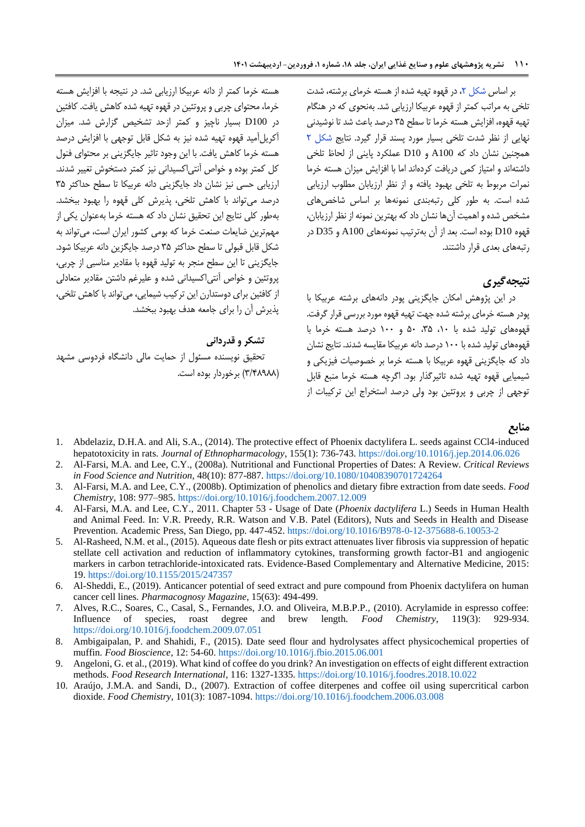بر اساس شکل ۲، در قهوه تهیه شده از هسته خرمای برشته، شدت تلخی به مراتب کمتر از قهوه عربیکا ارزیابی شد. بهنحوی که در هنگام تهیه قهوه، افزایش هسته خرما تا سطح 53 درصد باعث شد تا نوشیدنی نهایی از نظر شدت تلخی بسیار مورد پسند قرار گیرد. نتایج [شکل 1](#page-12-0) همچنین نشان داد که 100A و 10D عملکرد پاینی از لحاظ تلخی داشتهاند و امتیاز کمی دریافت کردهاند اما با افزایش میزان هسته خرما نمرات مربوط به تلخی بهبود یافته و از نظر ارزیابان مطلوب ارزیابی شده است. به طور کلی رتبهبندی نمونهها بر اساس شاخصهای مشخص شده و اهمیت آنها نشان داد که بهترین نمونه از نظر ارزیابان، قهوه 10D بوده است. بعد از آن بهترتیب نمونههای 100A و 35D در رتبههای بعدی قرار داشتند.

## **نتیجهگیری**

در این پژوهش امکان جایگزینی پودر دانههای برشته عربیکا با پودر هسته خرمای برشته شده جهت تهیه قهوه مورد بررسی قرار گرفت. قهوههای تولید شده با ،01 ،53 31 و 011 درصد هسته خرما با قهوههای تولید شده با 011 درصد دانه عربیکا مقایسه شدند. نتایج نشان داد که جایگزینی قهوه عربیکا با هسته خرما بر خصوصیات فیزیکی و شیمیایی قهوه تهیه شده تاثیرگذار بود. اگرچه هسته خرما منبع قابل توجهی از چربی و پروتئین بود ولی درصد استخراج این ترکیبات از

هسته خرما کمتر از دانه عربیکا ارزیابی شد. در نتیجه با افزایش هسته خرما، محتوای چربی و پروتئین در قهوه تهیه شده کاهش یافت. کافئین در 100D بسیار ناچیز و کمتر ازحد تشخیص گزارش شد. میزان آکریلآمید قهوه تهیه شده نیز به شکل قابل توجهی با افزایش درصد هسته خرما کاهش یافت. با این وجود تاثیر جایگزینی بر محتوای فنول کل کمتر بوده و خواص آنتیاکسیدانی نیز کمتر دستخوش تغییر شدند. ارزیابی حسی نیز نشان داد جایگزینی دانه عربیکا تا سطح حداکثر 53 درصد میتواند با کاهش تلخی، پذیرش کلی قهوه را بهبود ببخشد. بهطور کلی نتایج این تحقیق نشان داد که هسته خرما بهعنوان یکی از مهمترین ضایعات صنعت خرما که بومی کشور ایران است، میتواند به شکل قابل قبولی تا سطح حداکثر 53 درصد جایگزین دانه عربیکا شود. جایگزینی تا این سطح منجر به تولید قهوه با مقادیر مناسبی از چربی، پروتئین و خواص آنتیاکسیدانی شده و علیرغم داشتن مقادیر متعادلی از کافئین برای دوستدارن این ترکیب شیمایی، میتواند با کاهش تلخی، پذیرش آن را برای جامعه هدف بهبود ببخشد.

### **تشکر و قدردانی**

تحقیق نویسنده مسئول از حمایت مالی دانشگاه فردوسی مشهد )5/48688( برخوردار بوده است.

#### **منابع**

- <span id="page-13-5"></span>1. Abdelaziz, D.H.A. and Ali, S.A., (2014). The protective effect of Phoenix dactylifera L. seeds against CCl4-induced hepatotoxicity in rats. *Journal of Ethnopharmacology*, 155(1): 736-743. <https://doi.org/10.1016/j.jep.2014.06.026>
- <span id="page-13-3"></span>2. Al-Farsi, M.A. and Lee, C.Y., (2008a). Nutritional and Functional Properties of Dates: A Review. *Critical Reviews in Food Science and Nutrition*, 48(10): 877-887. <https://doi.org/10.1080/10408390701724264>
- <span id="page-13-0"></span>3. Al-Farsi, M.A. and Lee, C.Y., (2008b). Optimization of phenolics and dietary fibre extraction from date seeds. *Food Chemistry*, 108: 977–985. <https://doi.org/10.1016/j.foodchem.2007.12.009>
- <span id="page-13-2"></span>4. Al-Farsi, M.A. and Lee, C.Y., 2011. Chapter 53 - Usage of Date (*Phoenix dactylifera* L.) Seeds in Human Health and Animal Feed. In: V.R. Preedy, R.R. Watson and V.B. Patel (Editors), Nuts and Seeds in Health and Disease Prevention. Academic Press, San Diego, pp. 447-452. <https://doi.org/10.1016/B978-0-12-375688-6.10053-2>
- <span id="page-13-6"></span>5. Al-Rasheed, N.M. et al., (2015). Aqueous date flesh or pits extract attenuates liver fibrosis via suppression of hepatic stellate cell activation and reduction of inflammatory cytokines, transforming growth factor-B1 and angiogenic markers in carbon tetrachloride-intoxicated rats. Evidence-Based Complementary and Alternative Medicine, 2015: 19. <https://doi.org/10.1155/2015/247357>
- <span id="page-13-4"></span>6. Al-Sheddi, E., (2019). Anticancer potential of seed extract and pure compound from Phoenix dactylifera on human cancer cell lines. *Pharmacognosy Magazine*, 15(63): 494-499.
- <span id="page-13-7"></span>7. Alves, R.C., Soares, C., Casal, S., Fernandes, J.O. and Oliveira, M.B.P.P., (2010). Acrylamide in espresso coffee: Influence of species, roast degree and brew length. *Food Chemistry*, 119(3): 929-934. <https://doi.org/10.1016/j.foodchem.2009.07.051>
- <span id="page-13-1"></span>8. Ambigaipalan, P. and Shahidi, F., (2015). Date seed flour and hydrolysates affect physicochemical properties of muffin. *Food Bioscience*, 12: 54-60. <https://doi.org/10.1016/j.fbio.2015.06.001>
- <span id="page-13-9"></span>9. Angeloni, G. et al., (2019). What kind of coffee do you drink? An investigation on effects of eight different extraction methods. *Food Research International*, 116: 1327-1335. <https://doi.org/10.1016/j.foodres.2018.10.022>
- <span id="page-13-8"></span>10. Araújo, J.M.A. and Sandi, D., (2007). Extraction of coffee diterpenes and coffee oil using supercritical carbon dioxide. *Food Chemistry*, 101(3): 1087-1094. <https://doi.org/10.1016/j.foodchem.2006.03.008>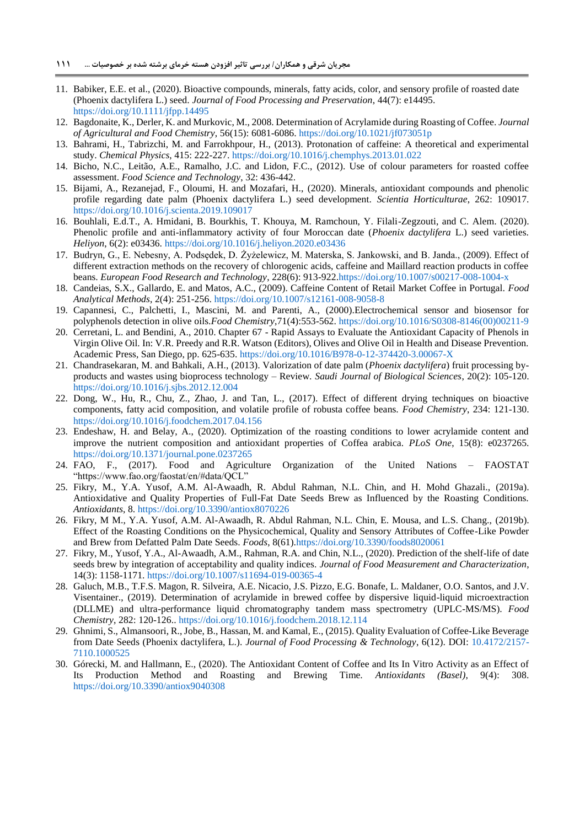- <span id="page-14-9"></span>11. Babiker, E.E. et al., (2020). Bioactive compounds, minerals, fatty acids, color, and sensory profile of roasted date (Phoenix dactylifera L.) seed. *Journal of Food Processing and Preservation*, 44(7): e14495. <https://doi.org/10.1111/jfpp.14495>
- <span id="page-14-13"></span>12. Bagdonaite, K., Derler, K. and Murkovic, M., 2008. Determination of Acrylamide during Roasting of Coffee. *Journal of Agricultural and Food Chemistry*, 56(15): 6081-6086. <https://doi.org/10.1021/jf073051p>
- <span id="page-14-6"></span>13. Bahrami, H., Tabrizchi, M. and Farrokhpour, H., (2013). Protonation of caffeine: A theoretical and experimental study. *Chemical Physics*, 415: 222-227. <https://doi.org/10.1016/j.chemphys.2013.01.022>
- <span id="page-14-17"></span>14. Bicho, N.C., Leitão, A.E., Ramalho, J.C. and Lidon, F.C., (2012). Use of colour parameters for roasted coffee assessment. *Food Science and Technology*, 32: 436-442.
- 15. Bijami, A., Rezanejad, F., Oloumi, H. and Mozafari, H., (2020). Minerals, antioxidant compounds and phenolic profile regarding date palm (Phoenix dactylifera L.) seed development. *Scientia Horticulturae*, 262: 109017. <https://doi.org/10.1016/j.scienta.2019.109017>
- <span id="page-14-2"></span>16. Bouhlali, E.d.T., A. Hmidani, B. Bourkhis, T. Khouya, M. Ramchoun, Y. Filali-Zegzouti, and C. Alem. (2020). Phenolic profile and anti-inflammatory activity of four Moroccan date (*Phoenix dactylifera* L.) seed varieties. *Heliyon*, 6(2): e03436. <https://doi.org/10.1016/j.heliyon.2020.e03436>
- <span id="page-14-15"></span>17. Budryn, G., E. Nebesny, A. Podsędek, D. Żyżelewicz, M. Materska, S. Jankowski, and B. Janda., (2009). Effect of different extraction methods on the recovery of chlorogenic acids, caffeine and Maillard reaction products in coffee beans. *European Food Research and Technology*, 228(6): 913-92[2.https://doi.org/10.1007/s00217-008-1004-x](https://doi.org/10.1007/s00217-008-1004-x)
- <span id="page-14-3"></span>18. Candeias, S.X., Gallardo, E. and Matos, A.C., (2009). Caffeine Content of Retail Market Coffee in Portugal. *Food Analytical Methods*, 2(4): 251-256. <https://doi.org/10.1007/s12161-008-9058-8>
- <span id="page-14-7"></span>19. Capannesi, C., Palchetti, I., Mascini, M. and Parenti, A., (2000).Electrochemical sensor and biosensor for polyphenols detection in olive oils.*Food Chemistry*,71(4):553-562. [https://doi.org/10.1016/S0308-8146\(00\)00211-9](https://doi.org/10.1016/S0308-8146(00)00211-9)
- <span id="page-14-8"></span>20. Cerretani, L. and Bendini, A., 2010. Chapter 67 - Rapid Assays to Evaluate the Antioxidant Capacity of Phenols in Virgin Olive Oil. In: V.R. Preedy and R.R. Watson (Editors), Olives and Olive Oil in Health and Disease Prevention. Academic Press, San Diego, pp. 625-635. <https://doi.org/10.1016/B978-0-12-374420-3.00067-X>
- <span id="page-14-0"></span>21. Chandrasekaran, M. and Bahkali, A.H., (2013). Valorization of date palm (*Phoenix dactylifera*) fruit processing byproducts and wastes using bioprocess technology – Review. *Saudi Journal of Biological Sciences*, 20(2): 105-120. <https://doi.org/10.1016/j.sjbs.2012.12.004>
- <span id="page-14-11"></span>22. Dong, W., Hu, R., Chu, Z., Zhao, J. and Tan, L., (2017). Effect of different drying techniques on bioactive components, fatty acid composition, and volatile profile of robusta coffee beans. *Food Chemistry*, 234: 121-130. <https://doi.org/10.1016/j.foodchem.2017.04.156>
- <span id="page-14-10"></span>23. Endeshaw, H. and Belay, A., (2020). Optimization of the roasting conditions to lower acrylamide content and improve the nutrient composition and antioxidant properties of Coffea arabica. *PLoS One*, 15(8): e0237265. <https://doi.org/10.1371/journal.pone.0237265>
- 24. FAO, F., (2017). Food and Agriculture Organization of the United Nations FAOSTAT "https://www.fao.org/faostat/en/#data/QCL"
- <span id="page-14-1"></span>25. Fikry, M., Y.A. Yusof, A.M. Al-Awaadh, R. Abdul Rahman, N.L. Chin, and H. Mohd Ghazali., (2019a). Antioxidative and Quality Properties of Full-Fat Date Seeds Brew as Influenced by the Roasting Conditions. *Antioxidants*, 8.<https://doi.org/10.3390/antiox8070226>
- <span id="page-14-16"></span>26. Fikry, M M., Y.A. Yusof, A.M. Al-Awaadh, R. Abdul Rahman, N.L. Chin, E. Mousa, and L.S. Chang., (2019b). Effect of the Roasting Conditions on the Physicochemical, Quality and Sensory Attributes of Coffee-Like Powder and Brew from Defatted Palm Date Seeds. *Foods*, 8(61[\).https://doi.org/10.3390/foods8020061](https://doi.org/10.3390/foods8020061)
- <span id="page-14-5"></span>27. Fikry, M., Yusof, Y.A., Al-Awaadh, A.M., Rahman, R.A. and Chin, N.L., (2020). Prediction of the shelf-life of date seeds brew by integration of acceptability and quality indices. *Journal of Food Measurement and Characterization*, 14(3): 1158-1171. <https://doi.org/10.1007/s11694-019-00365-4>
- <span id="page-14-12"></span>28. Galuch, M.B., T.F.S. Magon, R. Silveira, A.E. Nicacio, J.S. Pizzo, E.G. Bonafe, L. Maldaner, O.O. Santos, and J.V. Visentainer., (2019). Determination of acrylamide in brewed coffee by dispersive liquid-liquid microextraction (DLLME) and ultra-performance liquid chromatography tandem mass spectrometry (UPLC-MS/MS). *Food Chemistry*, 282: 120-126.. <https://doi.org/10.1016/j.foodchem.2018.12.114>
- <span id="page-14-4"></span>29. Ghnimi, S., Almansoori, R., Jobe, B., Hassan, M. and Kamal, E., (2015). Quality Evaluation of Coffee-Like Beverage from Date Seeds (Phoenix dactylifera, L.). *Journal of Food Processing & Technology*, 6(12). DOI: [10.4172/2157-](http://dx.doi.org/10.4172/2157-7110.1000525) [7110.1000525](http://dx.doi.org/10.4172/2157-7110.1000525)
- <span id="page-14-14"></span>30. Górecki, M. and Hallmann, E., (2020). The Antioxidant Content of Coffee and Its In Vitro Activity as an Effect of Its Production Method and Roasting and Brewing Time. *Antioxidants (Basel)*, 9(4): <https://doi.org/10.3390/antiox9040308>